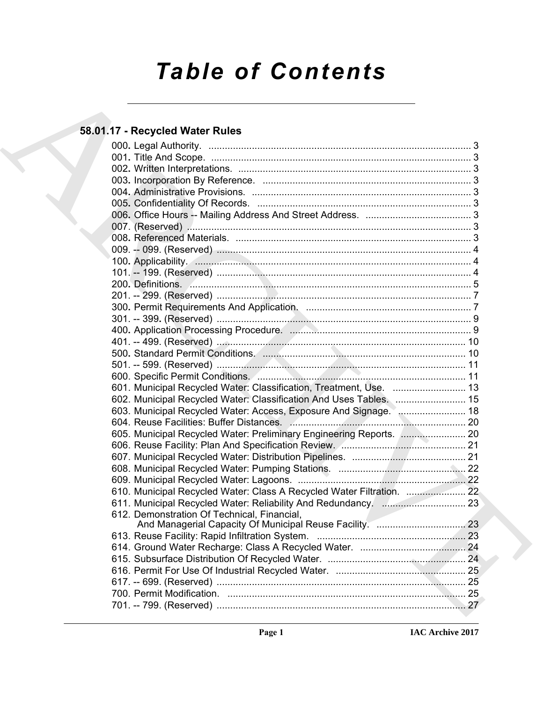# *Table of Contents*

# **58.01.17 - Recycled Water Rules**

| 58.01.17 - Recycled Water Rules |                                                                                                                                                                                                                                     |
|---------------------------------|-------------------------------------------------------------------------------------------------------------------------------------------------------------------------------------------------------------------------------------|
|                                 |                                                                                                                                                                                                                                     |
|                                 |                                                                                                                                                                                                                                     |
|                                 |                                                                                                                                                                                                                                     |
|                                 |                                                                                                                                                                                                                                     |
|                                 |                                                                                                                                                                                                                                     |
|                                 |                                                                                                                                                                                                                                     |
|                                 |                                                                                                                                                                                                                                     |
|                                 |                                                                                                                                                                                                                                     |
|                                 |                                                                                                                                                                                                                                     |
|                                 |                                                                                                                                                                                                                                     |
|                                 |                                                                                                                                                                                                                                     |
|                                 |                                                                                                                                                                                                                                     |
|                                 |                                                                                                                                                                                                                                     |
|                                 |                                                                                                                                                                                                                                     |
|                                 |                                                                                                                                                                                                                                     |
|                                 |                                                                                                                                                                                                                                     |
|                                 |                                                                                                                                                                                                                                     |
|                                 |                                                                                                                                                                                                                                     |
|                                 |                                                                                                                                                                                                                                     |
|                                 |                                                                                                                                                                                                                                     |
|                                 | 500. Standard Permit Conditions. <b>2006.</b> 2006. 2007. 2010. 2010. 2010. 2010. 2010. 2010. 2010. 2010. 2010. 2010. 2010. 2010. 2010. 2010. 2010. 2010. 2010. 2010. 2010. 2010. 2010. 2010. 2010. 2010. 2010. 2010. 2010. 2010. 2 |
|                                 |                                                                                                                                                                                                                                     |
|                                 |                                                                                                                                                                                                                                     |
|                                 | 601. Municipal Recycled Water: Classification, Treatment, Use.  13                                                                                                                                                                  |
|                                 | 602. Municipal Recycled Water: Classification And Uses Tables.  15                                                                                                                                                                  |
|                                 | 603. Municipal Recycled Water: Access, Exposure And Signage.  18                                                                                                                                                                    |
|                                 |                                                                                                                                                                                                                                     |
|                                 | 605. Municipal Recycled Water: Preliminary Engineering Reports.  20                                                                                                                                                                 |
|                                 |                                                                                                                                                                                                                                     |
|                                 |                                                                                                                                                                                                                                     |
|                                 |                                                                                                                                                                                                                                     |
|                                 |                                                                                                                                                                                                                                     |
|                                 |                                                                                                                                                                                                                                     |
|                                 |                                                                                                                                                                                                                                     |
|                                 | 612. Demonstration Of Technical, Financial,<br>And Managerial Capacity Of Municipal Reuse Facility.  23                                                                                                                             |
|                                 |                                                                                                                                                                                                                                     |
|                                 |                                                                                                                                                                                                                                     |
|                                 |                                                                                                                                                                                                                                     |
|                                 |                                                                                                                                                                                                                                     |
|                                 |                                                                                                                                                                                                                                     |
|                                 |                                                                                                                                                                                                                                     |
|                                 |                                                                                                                                                                                                                                     |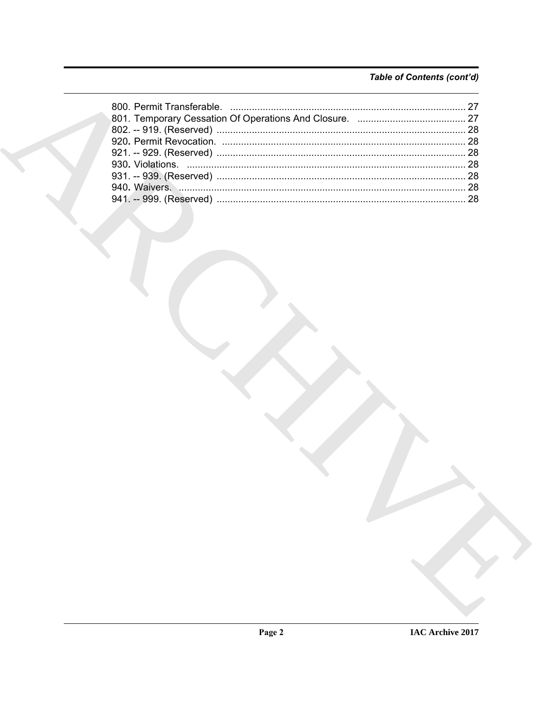# Table of Contents (cont'd)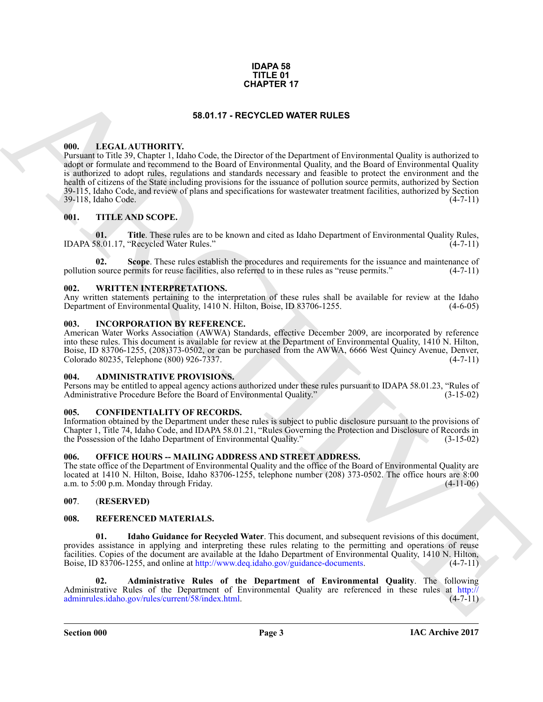#### **IDAPA 58 TITLE 01 CHAPTER 17**

### **58.01.17 - RECYCLED WATER RULES**

#### <span id="page-2-1"></span><span id="page-2-0"></span>**000. LEGAL AUTHORITY.**

**GHAPT[E](http://adminrules.idaho.gov/rules/current/58/index.html)R 17**<br> **SB.D1.1 IF CALL AITHORTY.**<br> **CONFIGURATION CONTRACTS AND ACTION CONTRACTS AND ACTION CONTRACTS AND CONFIGURATION CONTRACTS AND ACTION CONTRACTS AND CONTRACTS AND CONTRACTS AND CONTRACTS AND CONTRACTS AND CO** Pursuant to Title 39, Chapter 1, Idaho Code, the Director of the Department of Environmental Quality is authorized to adopt or formulate and recommend to the Board of Environmental Quality, and the Board of Environmental Quality is authorized to adopt rules, regulations and standards necessary and feasible to protect the environment and the health of citizens of the State including provisions for the issuance of pollution source permits, authorized by Section 39-115, Idaho Code, and review of plans and specifications for wastewater treatment facilities, authorized by Section 39-118, Idaho Code.

#### <span id="page-2-2"></span>**001. TITLE AND SCOPE.**

**01. Title**. These rules are to be known and cited as Idaho Department of Environmental Quality Rules, IDAPA 58.01.17, "Recycled Water Rules." (4-7-11)

**Scope**. These rules establish the procedures and requirements for the issuance and maintenance of pollution source permits for reuse facilities, also referred to in these rules as "reuse permits." (4-7-11)

#### <span id="page-2-3"></span>**002. WRITTEN INTERPRETATIONS.**

Any written statements pertaining to the interpretation of these rules shall be available for review at the Idaho Department of Environmental Quality, 1410 N. Hilton, Boise, ID 83706-1255. (4-6-05) Department of Environmental Quality, 1410 N. Hilton, Boise, ID 83706-1255.

#### <span id="page-2-4"></span>**003. INCORPORATION BY REFERENCE.**

American Water Works Association (AWWA) Standards, effective December 2009, are incorporated by reference into these rules. This document is available for review at the Department of Environmental Quality, 1410 N. Hilton, Boise, ID 83706-1255, (208)373-0502, or can be purchased from the AWWA, 6666 West Quincy Avenue, Denver, Colorado 80235, Telephone (800) 926-7337. Colorado 80235, Telephone (800) 926-7337.

#### <span id="page-2-5"></span>**004. ADMINISTRATIVE PROVISIONS.**

Persons may be entitled to appeal agency actions authorized under these rules pursuant to IDAPA 58.01.23, "Rules of Administrative Procedure Before the Board of Environmental Quality." (3-15-02)

#### <span id="page-2-10"></span><span id="page-2-6"></span>**005. CONFIDENTIALITY OF RECORDS.**

Information obtained by the Department under these rules is subject to public disclosure pursuant to the provisions of Chapter 1, Title 74, Idaho Code, and IDAPA 58.01.21, "Rules Governing the Protection and Disclosure of Records in the Possession of the Idaho Department of Environmental Quality." (3-15-02)

#### <span id="page-2-7"></span>**006. OFFICE HOURS -- MAILING ADDRESS AND STREET ADDRESS.**

The state office of the Department of Environmental Quality and the office of the Board of Environmental Quality are located at 1410 N. Hilton, Boise, Idaho 83706-1255, telephone number (208) 373-0502. The office hours are 8:00 a.m. to 5:00 p.m. Monday through Friday. (4-11-06)

#### <span id="page-2-8"></span>**007**. (**RESERVED)**

#### <span id="page-2-9"></span>**008. REFERENCED MATERIALS.**

<span id="page-2-12"></span>**01. Idaho Guidance for Recycled Water**. This document, and subsequent revisions of this document, provides assistance in applying and interpreting these rules relating to the permitting and operations of reuse facilities. Copies of the document are available at the Idaho Department of Environmental Quality, 1410 N. Hilton, Boise, ID 83706-1255, and online at http://www.deq.idaho.gov/guidance-documents. (4-7-11)

<span id="page-2-11"></span>**02. Administrative Rules of the Department of Environmental Quality**. The following Administrative Rules of the Department of Environmental Quality are referenced in these rules at http://<br>administrative Rules/current/58/index.html. (4-7-11) adminrules.idaho.gov/rules/current/58/index.html.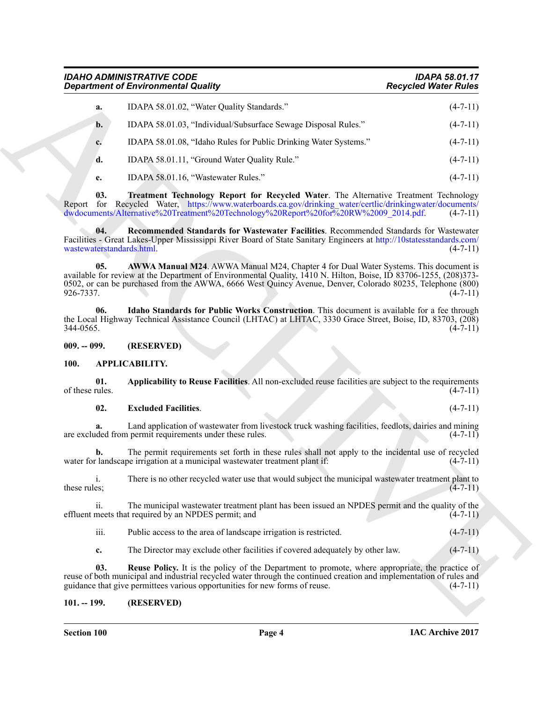## <span id="page-3-10"></span>*IDAHO ADMINISTRATIVE CODE IDAPA 58.01.17 Department of Environmental Quality*

|                                  | <b>Department of Environmental Quality</b>                                                                                                                                                                                                                                                                            | <b>Recycled Water Rules</b>                                            |
|----------------------------------|-----------------------------------------------------------------------------------------------------------------------------------------------------------------------------------------------------------------------------------------------------------------------------------------------------------------------|------------------------------------------------------------------------|
| a.                               | IDAPA 58.01.02, "Water Quality Standards."                                                                                                                                                                                                                                                                            | $(4-7-11)$                                                             |
| $\mathbf{b}$ .                   | IDAPA 58.01.03, "Individual/Subsurface Sewage Disposal Rules."                                                                                                                                                                                                                                                        | $(4-7-11)$                                                             |
| c.                               | IDAPA 58.01.08, "Idaho Rules for Public Drinking Water Systems."                                                                                                                                                                                                                                                      | $(4-7-11)$                                                             |
| d.                               | IDAPA 58.01.11, "Ground Water Quality Rule."                                                                                                                                                                                                                                                                          | $(4-7-11)$                                                             |
| e.                               | IDAPA 58.01.16, "Wastewater Rules."                                                                                                                                                                                                                                                                                   | $(4-7-11)$                                                             |
| 03.                              | Treatment Technology Report for Recycled Water. The Alternative Treatment Technology<br>Report for Recycled Water, https://www.waterboards.ca.gov/drinking water/certlic/drinkingwater/documents/<br>dwdocuments/Alternative%20Treatment%20Technology%20Report%20for%20RW%2009_2014.pdf.                              | $(4-7-11)$                                                             |
| 04.<br>wastewaterstandards.html. | Recommended Standards for Wastewater Facilities. Recommended Standards for Wastewater<br>Facilities - Great Lakes-Upper Mississippi River Board of State Sanitary Engineers at http://10statesstandards.com/                                                                                                          | $(4-7-11)$                                                             |
| 05.<br>926-7337.                 | AWWA Manual M24. AWWA Manual M24, Chapter 4 for Dual Water Systems. This document is<br>available for review at the Department of Environmental Quality, 1410 N. Hilton, Boise, ID 83706-1255, (208)373-<br>0502, or can be purchased from the AWWA, 6666 West Quincy Avenue, Denver, Colorado 80235, Telephone (800) | $(4-7-11)$                                                             |
| 06.<br>344-0565.                 | Idaho Standards for Public Works Construction. This document is available for a fee through<br>the Local Highway Technical Assistance Council (LHTAC) at LHTAC, 3330 Grace Street, Boise, ID, 83703, (208)                                                                                                            | $(4-7-11)$                                                             |
| $009. - 099.$                    | (RESERVED)                                                                                                                                                                                                                                                                                                            |                                                                        |
| APPLICABILITY.<br><b>100.</b>    |                                                                                                                                                                                                                                                                                                                       |                                                                        |
| 01.<br>of these rules.           | Applicability to Reuse Facilities. All non-excluded reuse facilities are subject to the requirements                                                                                                                                                                                                                  | $(4-7-11)$                                                             |
| 02.                              | <b>Excluded Facilities.</b>                                                                                                                                                                                                                                                                                           | $(4-7-11)$                                                             |
| a.                               | Land application of wastewater from livestock truck washing facilities, feedlots, dairies and mining<br>are excluded from permit requirements under these rules.                                                                                                                                                      | $(4-7-11)$                                                             |
| b.                               | The permit requirements set forth in these rules shall not apply to the incidental use of recycled<br>water for landscape irrigation at a municipal wastewater treatment plant if:                                                                                                                                    | $(4-7-11)$                                                             |
|                                  |                                                                                                                                                                                                                                                                                                                       |                                                                        |
| 1.<br>these rules;               | There is no other recycled water use that would subject the municipal wastewater treatment plant to                                                                                                                                                                                                                   |                                                                        |
| ii.                              | The municipal was tewater treatment plant has been issued an NPDES permit and the quality of the<br>effluent meets that required by an NPDES permit; and                                                                                                                                                              |                                                                        |
| iii.                             | Public access to the area of landscape irrigation is restricted.                                                                                                                                                                                                                                                      |                                                                        |
| c.                               | The Director may exclude other facilities if covered adequately by other law.                                                                                                                                                                                                                                         |                                                                        |
| 03.                              | <b>Reuse Policy.</b> It is the policy of the Department to promote, where appropriate, the practice of<br>reuse of both municipal and industrial recycled water through the continued creation and implementation of rules and<br>guidance that give permittees various opportunities for new forms of reuse.         | $(4-7-11)$<br>$(4-7-11)$<br>$(4 - 7 - 11)$<br>$(4-7-11)$<br>$(4-7-11)$ |

#### <span id="page-3-9"></span><span id="page-3-8"></span><span id="page-3-7"></span><span id="page-3-3"></span><span id="page-3-1"></span><span id="page-3-0"></span>**100. APPLICABILITY.**

#### <span id="page-3-5"></span><span id="page-3-4"></span>**02. Excluded Facilities**. (4-7-11)

#### <span id="page-3-6"></span><span id="page-3-2"></span>**101. -- 199. (RESERVED)**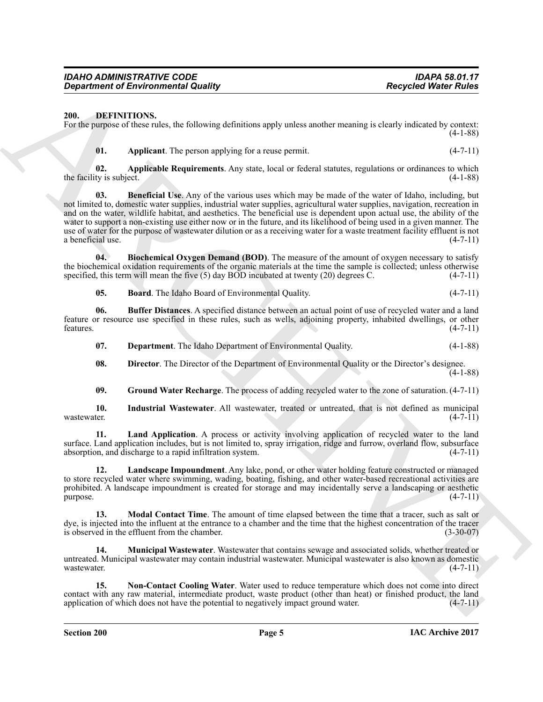#### <span id="page-4-0"></span>**200. DEFINITIONS.**

For the purpose of these rules, the following definitions apply unless another meaning is clearly indicated by context: (4-1-88)

<span id="page-4-4"></span><span id="page-4-3"></span><span id="page-4-1"></span>**01.** Applicant. The person applying for a reuse permit. (4-7-11)

**02. Applicable Requirements**. Any state, local or federal statutes, regulations or ordinances to which the facility is subject.  $(4-1-88)$ 

**Expertise of Environmental Quality (a)**<br>
20. **DEPINYING CONFIGURATION**<br>
20. **DEPINYING CONFIGURATION** (a) **CONFIGURATION** (a) **CONFIGURATION** (a) **CONFIGURATION**<br>
20. **Applicant Dependent definition apply unions a soluti 03. Beneficial Use**. Any of the various uses which may be made of the water of Idaho, including, but not limited to, domestic water supplies, industrial water supplies, agricultural water supplies, navigation, recreation in and on the water, wildlife habitat, and aesthetics. The beneficial use is dependent upon actual use, the ability of the water to support a non-existing use either now or in the future, and its likelihood of being used in a given manner. The use of water for the purpose of wastewater dilution or as a receiving water for a waste treatment facility effluent is not a beneficial use.  $(4-7-11)$ a beneficial use.

**04. Biochemical Oxygen Demand (BOD)**. The measure of the amount of oxygen necessary to satisfy the biochemical oxidation requirements of the organic materials at the time the sample is collected; unless otherwise specified, this term will mean the five (5) day BOD incubated at twenty (20) degrees C. (4-7-11) specified, this term will mean the five  $(5)$  day BOD incubated at twenty  $(20)$  degrees C.

<span id="page-4-6"></span><span id="page-4-5"></span><span id="page-4-2"></span>**05. Board**. The Idaho Board of Environmental Quality. (4-7-11)

**06. Buffer Distances**. A specified distance between an actual point of use of recycled water and a land feature or resource use specified in these rules, such as wells, adjoining property, inhabited dwellings, or other features.  $(4-7-11)$ 

<span id="page-4-7"></span>**07. Department**. The Idaho Department of Environmental Quality. (4-1-88)

<span id="page-4-8"></span>**08. Director**. The Director of the Department of Environmental Quality or the Director's designee.  $(4-1-88)$ 

<span id="page-4-14"></span><span id="page-4-10"></span><span id="page-4-9"></span>**09. Ground Water Recharge**. The process of adding recycled water to the zone of saturation. (4-7-11)

**10. Industrial Wastewater**. All wastewater, treated or untreated, that is not defined as municipal wastewater.  $(4-7-11)$ 

**11. Land Application**. A process or activity involving application of recycled water to the land surface. Land application includes, but is not limited to, spray irrigation, ridge and furrow, overland flow, subsurface absorption, and discharge to a rapid infiltration system. absorption, and discharge to a rapid infiltration system.

<span id="page-4-15"></span>**12. Landscape Impoundment**. Any lake, pond, or other water holding feature constructed or managed to store recycled water where swimming, wading, boating, fishing, and other water-based recreational activities are prohibited. A landscape impoundment is created for storage and may incidentally serve a landscaping or aesthetic  $p$ urpose.  $(4-7-11)$ 

<span id="page-4-11"></span>**13. Modal Contact Time**. The amount of time elapsed between the time that a tracer, such as salt or dye, is injected into the influent at the entrance to a chamber and the time that the highest concentration of the tracer is observed in the effluent from the chamber. (3-30-07)

<span id="page-4-12"></span>**14. Municipal Wastewater**. Wastewater that contains sewage and associated solids, whether treated or untreated. Municipal wastewater may contain industrial wastewater. Municipal wastewater is also known as domestic wastewater.  $(4-7-11)$ 

<span id="page-4-13"></span>**15. Non-Contact Cooling Water**. Water used to reduce temperature which does not come into direct contact with any raw material, intermediate product, waste product (other than heat) or finished product, the land application of which does not have the potential to negatively impact ground water.  $(4-7-11)$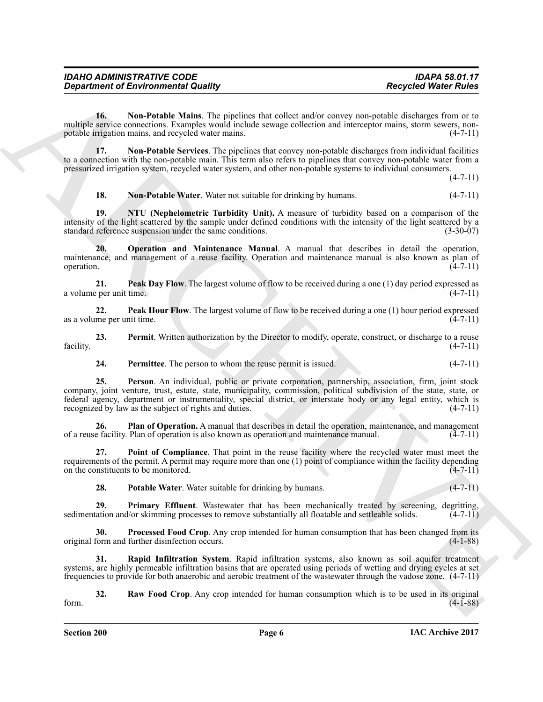| <b>IDAHO ADMINISTRATIVE CODE</b>           | <b>IDAPA 58.01.17</b>       |
|--------------------------------------------|-----------------------------|
| <b>Department of Environmental Quality</b> | <b>Recycled Water Rules</b> |

<span id="page-5-9"></span>**16. Non-Potable Mains**. The pipelines that collect and/or convey non-potable discharges from or to multiple service connections. Examples would include sewage collection and interceptor mains, storm sewers, nonpotable irrigation mains, and recycled water mains. (4-7-11)

**17. Non-Potable Services**. The pipelines that convey non-potable discharges from individual facilities to a connection with the non-potable main. This term also refers to pipelines that convey non-potable water from a pressurized irrigation system, recycled water system, and other non-potable systems to individual consumers.

 $(4 - 7 - 11)$ 

<span id="page-5-12"></span><span id="page-5-11"></span><span id="page-5-10"></span><span id="page-5-0"></span>**18. Non-Potable Water**. Water not suitable for drinking by humans. (4-7-11)

**19. NTU (Nephelometric Turbidity Unit).** A measure of turbidity based on a comparison of the intensity of the light scattered by the sample under defined conditions with the intensity of the light scattered by a standard reference suspension under the same conditions. (3-30-07)

**20. Operation and Maintenance Manual**. A manual that describes in detail the operation, maintenance, and management of a reuse facility. Operation and maintenance manual is also known as plan of operation.  $(4-7-11)$ 

<span id="page-5-13"></span>**21. Peak Day Flow**. The largest volume of flow to be received during a one (1) day period expressed as per unit time. a volume per unit time.

<span id="page-5-14"></span>**22. Peak Hour Flow**. The largest volume of flow to be received during a one (1) hour period expressed as a volume per unit time.  $(4-7-11)$ 

**23. Permit**. Written authorization by the Director to modify, operate, construct, or discharge to a reuse facility. (4-7-11)

<span id="page-5-15"></span><span id="page-5-3"></span><span id="page-5-2"></span><span id="page-5-1"></span>**24.** Permittee. The person to whom the reuse permit is issued. (4-7-11)

Geografic entre contents de la manuelle du du manuelle du manuelle du manuelle du manuelle du manuelle du manuelle du manuelle du manuelle du manuelle du manuelle du manuelle du manuelle du manuelle du manuelle du manuell **25. Person**. An individual, public or private corporation, partnership, association, firm, joint stock company, joint venture, trust, estate, state, municipality, commission, political subdivision of the state, state, or federal agency, department or instrumentality, special district, or interstate body or any legal entity, which is recognized by law as the subject of rights and duties. (4-7-11) recognized by law as the subject of rights and duties.

**26. Plan of Operation.** A manual that describes in detail the operation, maintenance, and management of a reuse facility. Plan of operation is also known as operation and maintenance manual. (4-7-11)

**27. Point of Compliance**. That point in the reuse facility where the recycled water must meet the requirements of the permit. A permit may require more than one (1) point of compliance within the facility depending on the constituents to be monitored. (4-7-11) on the constituents to be monitored.

<span id="page-5-16"></span><span id="page-5-6"></span><span id="page-5-5"></span><span id="page-5-4"></span>**28.** Potable Water. Water suitable for drinking by humans. (4-7-11)

**29. Primary Effluent**. Wastewater that has been mechanically treated by screening, degritting, sedimentation and/or skimming processes to remove substantially all floatable and settleable solids.  $(4-7-11)$ 

**30.** Processed Food Crop. Any crop intended for human consumption that has been changed from its form and further disinfection occurs. original form and further disinfection occurs.

<span id="page-5-7"></span>**31. Rapid Infiltration System**. Rapid infiltration systems, also known as soil aquifer treatment systems, are highly permeable infiltration basins that are operated using periods of wetting and drying cycles at set frequencies to provide for both anaerobic and aerobic treatment of the wastewater through the vadose zone. (4-7-11)

<span id="page-5-8"></span>**32. Raw Food Crop**. Any crop intended for human consumption which is to be used in its original form. (4-1-88)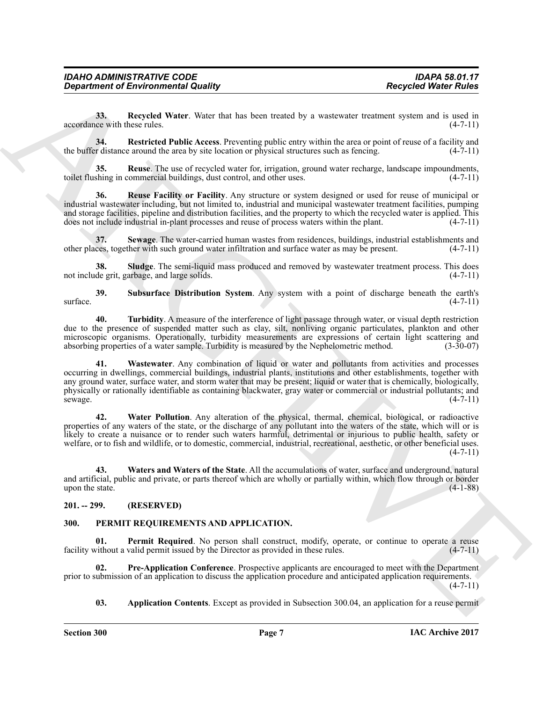<span id="page-6-13"></span>**33.** Recycled Water. Water that has been treated by a wastewater treatment system and is used in ce with these rules. (4-7-11) accordance with these rules.

<span id="page-6-2"></span>**34. Restricted Public Access**. Preventing public entry within the area or point of reuse of a facility and the buffer distance around the area by site location or physical structures such as fencing. (4-7-11)

<span id="page-6-3"></span>**35. Reuse**. The use of recycled water for, irrigation, ground water recharge, landscape impoundments, toilet flushing in commercial buildings, dust control, and other uses. (4-7-11)

<span id="page-6-14"></span>**36. Reuse Facility or Facility**. Any structure or system designed or used for reuse of municipal or industrial wastewater including, but not limited to, industrial and municipal wastewater treatment facilities, pumping and storage facilities, pipeline and distribution facilities, and the property to which the recycled water is applied. This does not include industrial in-plant processes and reuse of process waters within the plant. (4-7does not include industrial in-plant processes and reuse of process waters within the plant.

<span id="page-6-4"></span>**37.** Sewage. The water-carried human wastes from residences, buildings, industrial establishments and ces, together with such ground water infiltration and surface water as may be present. (4-7-11) other places, together with such ground water infiltration and surface water as may be present.

<span id="page-6-5"></span>**38. Sludge**. The semi-liquid mass produced and removed by wastewater treatment process. This does not include grit, garbage, and large solids. (4-7-11)

<span id="page-6-15"></span>**39. Subsurface Distribution System**. Any system with a point of discharge beneath the earth's  $\frac{1}{2}$  surface. (4-7-11)

<span id="page-6-7"></span><span id="page-6-6"></span>**40. Turbidity**. A measure of the interference of light passage through water, or visual depth restriction due to the presence of suspended matter such as clay, silt, nonliving organic particulates, plankton and other microscopic organisms. Operationally, turbidity measurements are expressions of certain light scattering and absorbing properties of a water sample. Turbidity is measured by the Nephelometric method. (3-30-07) absorbing properties of a water sample. Turbidity is measured by the Nephelometric method.

**Consideration of Environmental Quality (a)**<br>
New Material Matter Numer and he ben terms of  $\mu$  a vesting reduction residents and in a such a state of  $\mu$  and the state of  $\mu$  and  $\mu$  and the state of  $\mu$  and the sta **41. Wastewater**. Any combination of liquid or water and pollutants from activities and processes occurring in dwellings, commercial buildings, industrial plants, institutions and other establishments, together with any ground water, surface water, and storm water that may be present; liquid or water that is chemically, biologically, physically or rationally identifiable as containing blackwater, gray water or commercial or industrial pollutants; and sewage. (4-7-11)

<span id="page-6-16"></span>**42. Water Pollution**. Any alteration of the physical, thermal, chemical, biological, or radioactive properties of any waters of the state, or the discharge of any pollutant into the waters of the state, which will or is likely to create a nuisance or to render such waters harmful, detrimental or injurious to public health, safety or welfare, or to fish and wildlife, or to domestic, commercial, industrial, recreational, aesthetic, or other beneficial uses.  $(4 - 7 - 11)$ 

<span id="page-6-8"></span>**43. Waters and Waters of the State**. All the accumulations of water, surface and underground, natural and artificial, public and private, or parts thereof which are wholly or partially within, which flow through or border upon the state.  $(4-1-88)$ 

#### <span id="page-6-0"></span>**201. -- 299. (RESERVED)**

#### <span id="page-6-9"></span><span id="page-6-1"></span>**300. PERMIT REQUIREMENTS AND APPLICATION.**

<span id="page-6-11"></span>Permit Required. No person shall construct, modify, operate, or continue to operate a reuse facility without a valid permit issued by the Director as provided in these rules. (4-7-11)

**02. Pre-Application Conference**. Prospective applicants are encouraged to meet with the Department prior to submission of an application to discuss the application procedure and anticipated application requirements.  $(4 - 7 - 11)$ 

<span id="page-6-12"></span><span id="page-6-10"></span>**03. Application Contents**. Except as provided in Subsection 300.04, an application for a reuse permit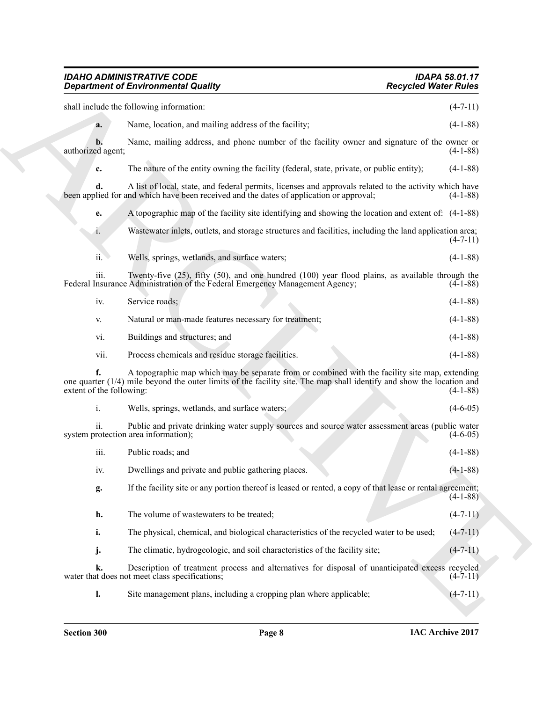# *IDAHO ADMINISTRATIVE CODE IDAPA 58.01.17 Department of Environmental Quality Recycled Water Rules* shall include the following information:  $(4-7-11)$

|                                | <b>Department of Environmental Quality</b>                                                                                                                                                                                | <b>Recycled Water Rules</b> |
|--------------------------------|---------------------------------------------------------------------------------------------------------------------------------------------------------------------------------------------------------------------------|-----------------------------|
|                                | shall include the following information:                                                                                                                                                                                  | $(4-7-11)$                  |
| a.                             | Name, location, and mailing address of the facility;                                                                                                                                                                      | $(4-1-88)$                  |
| b.<br>authorized agent;        | Name, mailing address, and phone number of the facility owner and signature of the owner or                                                                                                                               | $(4-1-88)$                  |
| c.                             | The nature of the entity owning the facility (federal, state, private, or public entity);                                                                                                                                 | $(4-1-88)$                  |
| d.                             | A list of local, state, and federal permits, licenses and approvals related to the activity which have<br>been applied for and which have been received and the dates of application or approval;                         | $(4-1-88)$                  |
| e.                             | A topographic map of the facility site identifying and showing the location and extent of: (4-1-88)                                                                                                                       |                             |
| 1.                             | Wastewater inlets, outlets, and storage structures and facilities, including the land application area;                                                                                                                   | $(4-7-11)$                  |
| ii.                            | Wells, springs, wetlands, and surface waters;                                                                                                                                                                             | $(4-1-88)$                  |
| iii.                           | Twenty-five $(25)$ , fifty $(50)$ , and one hundred $(100)$ year flood plains, as available through the<br>Federal Insurance Administration of the Federal Emergency Management Agency;                                   | $(4-1-88)$                  |
| iv.                            | Service roads;                                                                                                                                                                                                            | $(4-1-88)$                  |
| V.                             | Natural or man-made features necessary for treatment;                                                                                                                                                                     | $(4-1-88)$                  |
| vi.                            | Buildings and structures; and                                                                                                                                                                                             | $(4-1-88)$                  |
| vii.                           | Process chemicals and residue storage facilities.                                                                                                                                                                         | $(4-1-88)$                  |
| f.<br>extent of the following: | A topographic map which may be separate from or combined with the facility site map, extending<br>one quarter $(1/4)$ mile beyond the outer limits of the facility site. The map shall identify and show the location and | $(4-1-88)$                  |
| i.                             | Wells, springs, wetlands, and surface waters;                                                                                                                                                                             | $(4-6-05)$                  |
| ii.                            | Public and private drinking water supply sources and source water assessment areas (public water<br>system protection area information);                                                                                  | $(4-6-05)$                  |
| iii.                           | Public roads; and                                                                                                                                                                                                         | $(4-1-88)$                  |
| iv.                            | Dwellings and private and public gathering places.                                                                                                                                                                        | $(4-1-88)$                  |
| g.                             | If the facility site or any portion thereof is leased or rented, a copy of that lease or rental agreement;                                                                                                                | $(4-1-88)$                  |
| h.                             | The volume of wastewaters to be treated;                                                                                                                                                                                  | $(4-7-11)$                  |
| i.                             | The physical, chemical, and biological characteristics of the recycled water to be used;                                                                                                                                  | $(4 - 7 - 11)$              |
| j.                             | The climatic, hydrogeologic, and soil characteristics of the facility site;                                                                                                                                               | $(4-7-11)$                  |
| k.                             | Description of treatment process and alternatives for disposal of unanticipated excess recycled<br>water that does not meet class specifications;                                                                         | $(4-7-11)$                  |
|                                | Site management plans, including a cropping plan where applicable;                                                                                                                                                        |                             |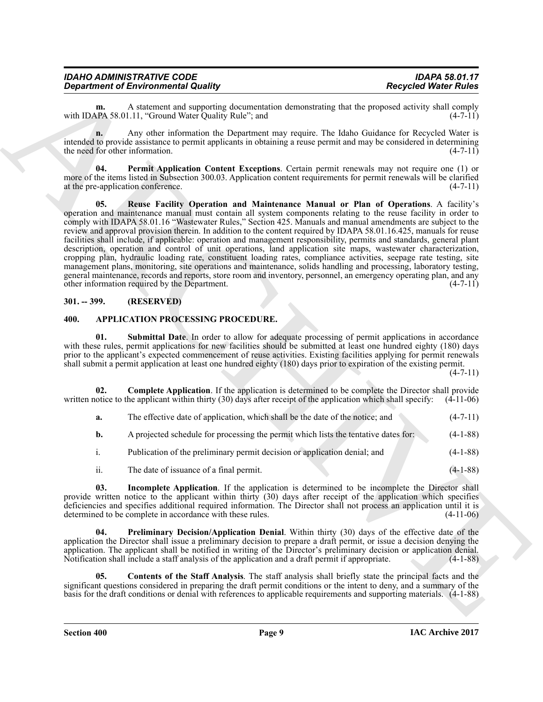| <b>IDAHO ADMINISTRATIVE CODE</b>           | <b>IDAPA 58.01.17</b>       |
|--------------------------------------------|-----------------------------|
| <b>Department of Environmental Quality</b> | <b>Recycled Water Rules</b> |

**m.** A statement and supporting documentation demonstrating that the proposed activity shall comply  $P_A$  58.01.11. "Ground Water Ouality Rule": and  $(4-7-11)$ with IDAPA 58.01.11, "Ground Water Quality Rule"; and

**n.** Any other information the Department may require. The Idaho Guidance for Recycled Water is intended to provide assistance to permit applicants in obtaining a reuse permit and may be considered in determining the need for other information. (4-7-11)

<span id="page-8-9"></span><span id="page-8-8"></span>**Permit Application Content Exceptions**. Certain permit renewals may not require one (1) or more of the items listed in Subsection 300.03. Application content requirements for permit renewals will be clarified at the pre-application conference. (4-7-11)

**Department of Environmental Roading Comparison to temperature Response Meridian Reservoir States Response States Reservoir States Reservoir States Reservoir States Reservoir States Reservoir States Reservoir States Reser 05. Reuse Facility Operation and Maintenance Manual or Plan of Operations**. A facility's operation and maintenance manual must contain all system components relating to the reuse facility in order to comply with IDAPA 58.01.16 "Wastewater Rules," Section 425. Manuals and manual amendments are subject to the review and approval provision therein. In addition to the content required by IDAPA 58.01.16.425, manuals for reuse facilities shall include, if applicable: operation and management responsibility, permits and standards, general plant description, operation and control of unit operations, land application site maps, wastewater characterization, cropping plan, hydraulic loading rate, constituent loading rates, compliance activities, seepage rate testing, site management plans, monitoring, site operations and maintenance, solids handling and processing, laboratory testing, general maintenance, records and reports, store room and inventory, personnel, an emergency operating plan, and any other information required by the Department. (4-7-11)

#### <span id="page-8-0"></span>**301. -- 399. (RESERVED)**

#### <span id="page-8-7"></span><span id="page-8-2"></span><span id="page-8-1"></span>**400. APPLICATION PROCESSING PROCEDURE.**

**01. Submittal Date**. In order to allow for adequate processing of permit applications in accordance with these rules, permit applications for new facilities should be submitted at least one hundred eighty (180) days prior to the applicant's expected commencement of reuse activities. Existing facilities applying for permit renewals shall submit a permit application at least one hundred eighty (180) days prior to expiration of the existing permit.

 $(4 - 7 - 11)$ 

**02. Complete Application**. If the application is determined to be complete the Director shall provide written notice to the applicant within thirty (30) days after receipt of the application which shall specify: (4-11-06)

<span id="page-8-3"></span>

| а. | The effective date of application, which shall be the date of the notice; and | $(4-7-11)$ |
|----|-------------------------------------------------------------------------------|------------|
|    |                                                                               |            |

**b.** A projected schedule for processing the permit which lists the tentative dates for: (4-1-88)

- i. Publication of the preliminary permit decision or application denial; and (4-1-88)
- <span id="page-8-6"></span><span id="page-8-5"></span>ii. The date of issuance of a final permit. (4-1-88)

**03. Incomplete Application**. If the application is determined to be incomplete the Director shall provide written notice to the applicant within thirty (30) days after receipt of the application which specifies deficiencies and specifies additional required information. The Director shall not process an application until it is determined to be complete in accordance with these rules. (4-11-06)

**04. Preliminary Decision/Application Denial**. Within thirty (30) days of the effective date of the application the Director shall issue a preliminary decision to prepare a draft permit, or issue a decision denying the application. The applicant shall be notified in writing of the Director's preliminary decision or application denial. Notification shall include a staff analysis of the application and a draft permit if appropriate. (4-1-88)

<span id="page-8-4"></span>**05. Contents of the Staff Analysis**. The staff analysis shall briefly state the principal facts and the significant questions considered in preparing the draft permit conditions or the intent to deny, and a summary of the basis for the draft conditions or denial with references to applicable requirements and supporting materials. (4-1-88)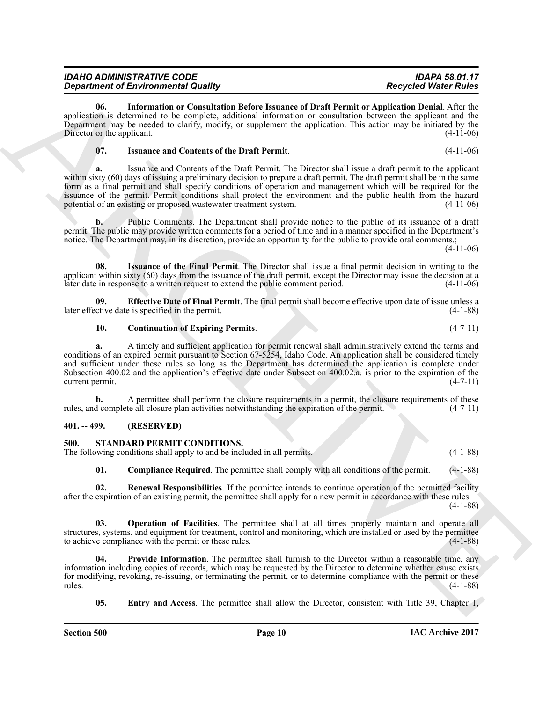| IDAHO ADMINISTRATIVE CODE           | <b>IDAPA 58.01.17</b>       |
|-------------------------------------|-----------------------------|
| Department of Environmental Quality | <b>Recycled Water Rules</b> |

<span id="page-9-4"></span>**06. Information or Consultation Before Issuance of Draft Permit or Application Denial**. After the application is determined to be complete, additional information or consultation between the applicant and the Department may be needed to clarify, modify, or supplement the application. This action may be initiated by the Director or the applicant. (4-11-06) Director or the applicant.

#### <span id="page-9-5"></span>**07. Issuance and Contents of the Draft Permit**. (4-11-06)

*Department of Encyclopedia County of the Complete County of Control in the Control Weiter Research Control in the County of Control in the County of Control in the County of Control in the County of County of County of* **a.** Issuance and Contents of the Draft Permit. The Director shall issue a draft permit to the applicant within sixty (60) days of issuing a preliminary decision to prepare a draft permit. The draft permit shall be in the same form as a final permit and shall specify conditions of operation and management which will be required for the issuance of the permit. Permit conditions shall protect the environment and the public health from the hazard potential of an existing or proposed wastewater treatment system. (4-11-06)

**b.** Public Comments. The Department shall provide notice to the public of its issuance of a draft permit. The public may provide written comments for a period of time and in a manner specified in the Department's notice. The Department may, in its discretion, provide an opportunity for the public to provide oral comments.;

(4-11-06)

<span id="page-9-6"></span>**08. Issuance of the Final Permit**. The Director shall issue a final permit decision in writing to the applicant within sixty (60) days from the issuance of the draft permit, except the Director may issue the decision at a later date in response to a written request to extend the public comment period. (4-11-06)

**09. Effective Date of Final Permit**. The final permit shall become effective upon date of issue unless a later effective date is specified in the permit. (4-1-88)

#### <span id="page-9-3"></span><span id="page-9-2"></span>**10. Continuation of Expiring Permits**. (4-7-11)

**a.** A timely and sufficient application for permit renewal shall administratively extend the terms and conditions of an expired permit pursuant to Section 67-5254, Idaho Code. An application shall be considered timely and sufficient under these rules so long as the Department has determined the application is complete under Subsection 400.02 and the application's effective date under Subsection 400.02.a. is prior to the expiration of the current permit. (4-7-11)

**b.** A permittee shall perform the closure requirements in a permit, the closure requirements of these d complete all closure plan activities notwithstanding the expiration of the permit. (4-7-11) rules, and complete all closure plan activities notwithstanding the expiration of the permit.

#### <span id="page-9-0"></span>**401. -- 499. (RESERVED)**

#### <span id="page-9-7"></span><span id="page-9-1"></span>**500. STANDARD PERMIT CONDITIONS.**

The following conditions shall apply to and be included in all permits. (4-1-88)

<span id="page-9-12"></span><span id="page-9-10"></span><span id="page-9-8"></span>**01.** Compliance Required. The permittee shall comply with all conditions of the permit. (4-1-88)

**02. Renewal Responsibilities**. If the permittee intends to continue operation of the permitted facility after the expiration of an existing permit, the permittee shall apply for a new permit in accordance with these rules. (4-1-88)

**Operation of Facilities**. The permittee shall at all times properly maintain and operate all structures, systems, and equipment for treatment, control and monitoring, which are installed or used by the permittee to achieve compliance with the permit or these rules. (4-1-88) to achieve compliance with the permit or these rules.

**Provide Information**. The permittee shall furnish to the Director within a reasonable time, any information including copies of records, which may be requested by the Director to determine whether cause exists for modifying, revoking, re-issuing, or terminating the permit, or to determine compliance with the permit or these rules. (4-1-88)

<span id="page-9-11"></span><span id="page-9-9"></span>**05.** Entry and Access. The permittee shall allow the Director, consistent with Title 39, Chapter 1,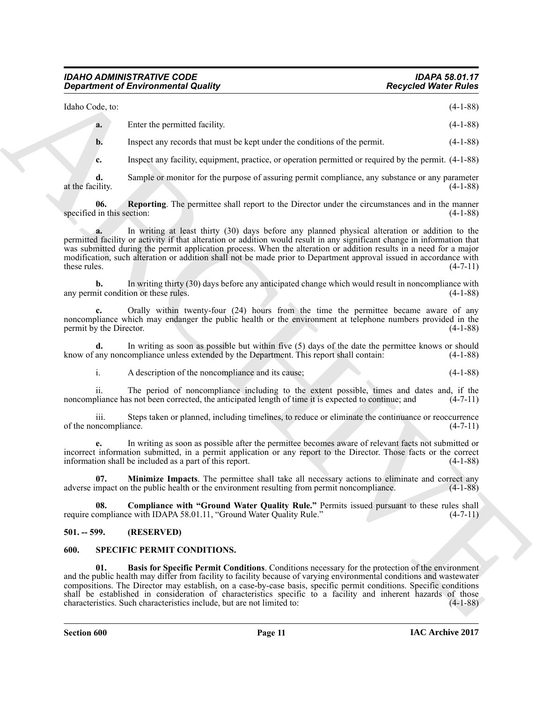#### *IDAHO ADMINISTRATIVE CODE IDAPA 58.01.17 Department of Environmental Quality*

Idaho Code, to: (4-1-88)

|  |  | $\mathcal{L}$ |
|--|--|---------------|
|  |  |               |

**a.** Enter the permitted facility. (4-1-88)

**b.** Inspect any records that must be kept under the conditions of the permit. (4-1-88)

<span id="page-10-6"></span>**c.** Inspect any facility, equipment, practice, or operation permitted or required by the permit. (4-1-88)

**d.** Sample or monitor for the purpose of assuring permit compliance, any substance or any parameter at the facility. (4-1-88)

**06.** Reporting. The permittee shall report to the Director under the circumstances and in the manner in this section: (4-1-88) specified in this section:

**a.** In writing at least thirty (30) days before any planned physical alteration or addition to the permitted facility or activity if that alteration or addition would result in any significant change in information that was submitted during the permit application process. When the alteration or addition results in a need for a major modification, such alteration or addition shall not be made prior to Department approval issued in accordance with these rules.  $(4-7-11)$ 

**b.** In writing thirty (30) days before any anticipated change which would result in noncompliance with it condition or these rules. (4-1-88) any permit condition or these rules.

**c.** Orally within twenty-four (24) hours from the time the permittee became aware of any noncompliance which may endanger the public health or the environment at telephone numbers provided in the permit by the Director. (4-1-88) permit by the Director.

**d.** In writing as soon as possible but within five (5) days of the date the permittee knows or should know of any noncompliance unless extended by the Department. This report shall contain: (4-1-88)

i. A description of the noncompliance and its cause; (4-1-88)

ii. The period of noncompliance including to the extent possible, times and dates and, if the noncompliance has not been corrected, the anticipated length of time it is expected to continue; and  $(4-7-11)$ 

iii. Steps taken or planned, including timelines, to reduce or eliminate the continuance or reoccurrence neompliance. (4-7-11) of the noncompliance.

**e.** In writing as soon as possible after the permittee becomes aware of relevant facts not submitted or incorrect information submitted, in a permit application or any report to the Director. Those facts or the correct information shall be included as a part of this report. (4-1-88)

<span id="page-10-5"></span>**07. Minimize Impacts**. The permittee shall take all necessary actions to eliminate and correct any mpact on the public health or the environment resulting from permit noncompliance. (4-1-88) adverse impact on the public health or the environment resulting from permit noncompliance.

<span id="page-10-4"></span>**08. Compliance with "Ground Water Quality Rule."** Permits issued pursuant to these rules shall require compliance with IDAPA 58.01.11, "Ground Water Quality Rule." (4-7-11)

#### <span id="page-10-0"></span>**501. -- 599. (RESERVED)**

#### <span id="page-10-3"></span><span id="page-10-2"></span><span id="page-10-1"></span>**600. SPECIFIC PERMIT CONDITIONS.**

**Expertise of Environmental Quality (a)**<br>  $\frac{1}{2}$ <br>  $\frac{1}{2}$ <br>  $\frac{1}{2}$ <br>  $\frac{1}{2}$ <br>  $\frac{1}{2}$ <br>  $\frac{1}{2}$ <br>  $\frac{1}{2}$ <br>  $\frac{1}{2}$ <br>  $\frac{1}{2}$ <br>  $\frac{1}{2}$ <br>  $\frac{1}{2}$ <br>  $\frac{1}{2}$ <br>  $\frac{1}{2}$ <br>  $\frac{1}{2}$ <br>  $\frac{1}{2}$ <br>  $\frac{1}{2}$ <br>  $\frac$ **01. Basis for Specific Permit Conditions**. Conditions necessary for the protection of the environment and the public health may differ from facility to facility because of varying environmental conditions and wastewater compositions. The Director may establish, on a case-by-case basis, specific permit conditions. Specific conditions shall be established in consideration of characteristics specific to a facility and inherent hazards of those characteristics. Such characteristics include, but are not limited to: (4-1-88)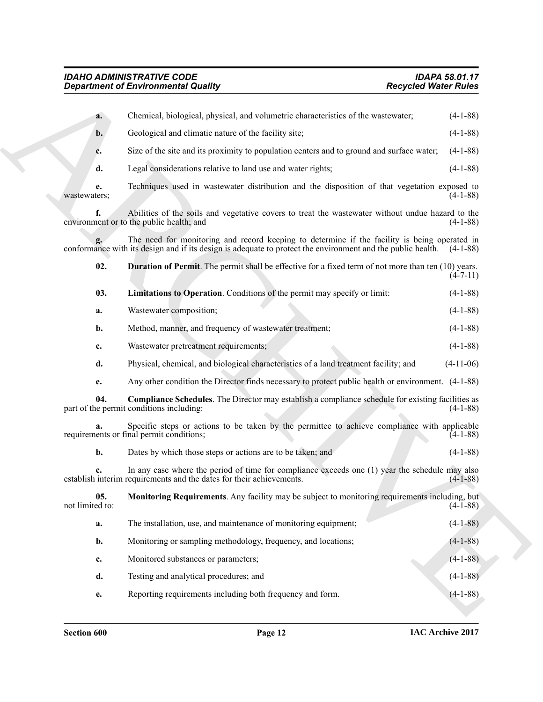<span id="page-11-3"></span><span id="page-11-2"></span><span id="page-11-1"></span><span id="page-11-0"></span>

|                        | <b>Department of Environmental Quality</b>                                                                                                                                                                           | <b>Recycled Water Rules</b> |
|------------------------|----------------------------------------------------------------------------------------------------------------------------------------------------------------------------------------------------------------------|-----------------------------|
| a.                     | Chemical, biological, physical, and volumetric characteristics of the wastewater;                                                                                                                                    | $(4-1-88)$                  |
| $b$ .                  | Geological and climatic nature of the facility site;                                                                                                                                                                 | $(4-1-88)$                  |
| c.                     | Size of the site and its proximity to population centers and to ground and surface water;                                                                                                                            | $(4-1-88)$                  |
| d.                     | Legal considerations relative to land use and water rights;                                                                                                                                                          | $(4-1-88)$                  |
| e.<br>wastewaters:     | Techniques used in wastewater distribution and the disposition of that vegetation exposed to                                                                                                                         | $(4-1-88)$                  |
| f.                     | Abilities of the soils and vegetative covers to treat the wastewater without undue hazard to the<br>environment or to the public health; and                                                                         | $(4-1-88)$                  |
|                        | The need for monitoring and record keeping to determine if the facility is being operated in<br>conformance with its design and if its design is adequate to protect the environment and the public health. (4-1-88) |                             |
| 02.                    | <b>Duration of Permit</b> . The permit shall be effective for a fixed term of not more than ten (10) years.                                                                                                          | $(4 - 7 - 11)$              |
| 03.                    | Limitations to Operation. Conditions of the permit may specify or limit:                                                                                                                                             | $(4-1-88)$                  |
| a.                     | Wastewater composition;                                                                                                                                                                                              | $(4-1-88)$                  |
| b.                     | Method, manner, and frequency of wastewater treatment;                                                                                                                                                               | $(4-1-88)$                  |
| c.                     | Wastewater pretreatment requirements;                                                                                                                                                                                | $(4-1-88)$                  |
| d.                     | Physical, chemical, and biological characteristics of a land treatment facility; and                                                                                                                                 | $(4-11-06)$                 |
| e.                     | Any other condition the Director finds necessary to protect public health or environment. (4-1-88)                                                                                                                   |                             |
| 04.                    | <b>Compliance Schedules</b> . The Director may establish a compliance schedule for existing facilities as<br>part of the permit conditions including:                                                                | $(4-1-88)$                  |
|                        | Specific steps or actions to be taken by the permittee to achieve compliance with applicable<br>requirements or final permit conditions;                                                                             | $(4-1-88)$                  |
| b.                     | Dates by which those steps or actions are to be taken; and                                                                                                                                                           | $(4-1-88)$                  |
| c.                     | In any case where the period of time for compliance exceeds one (1) year the schedule may also<br>establish interim requirements and the dates for their achievements.                                               | $(4-1-88)$                  |
| 05.<br>not limited to: | Monitoring Requirements. Any facility may be subject to monitoring requirements including, but                                                                                                                       | $(4-1-88)$                  |
| a.                     | The installation, use, and maintenance of monitoring equipment;                                                                                                                                                      | $(4-1-88)$                  |
| b.                     | Monitoring or sampling methodology, frequency, and locations;                                                                                                                                                        | $(4-1-88)$                  |
| c.                     | Monitored substances or parameters;                                                                                                                                                                                  | $(4-1-88)$                  |
| d.                     | Testing and analytical procedures; and                                                                                                                                                                               | $(4-1-88)$                  |
|                        |                                                                                                                                                                                                                      |                             |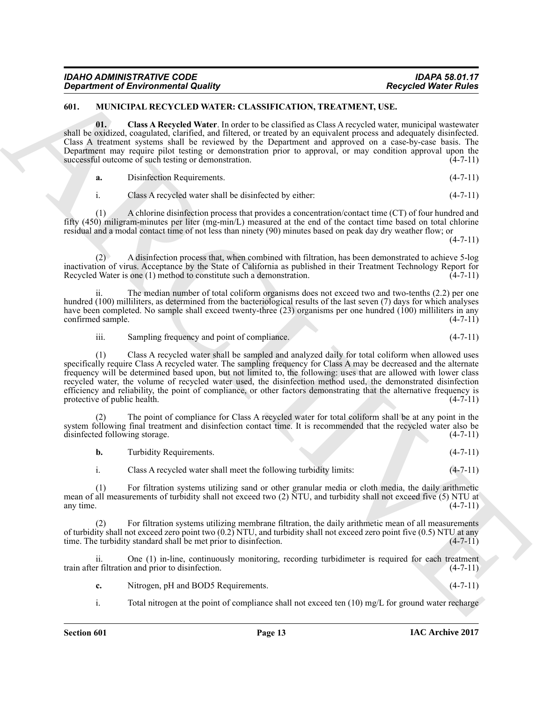| <b>IDAHO ADMINISTRATIVE CODE</b>           | <b>IDAPA 58.01.17</b>       |
|--------------------------------------------|-----------------------------|
| <b>Department of Environmental Quality</b> | <b>Recycled Water Rules</b> |

#### <span id="page-12-1"></span><span id="page-12-0"></span>**601. MUNICIPAL RECYCLED WATER: CLASSIFICATION, TREATMENT, USE.**

<span id="page-12-2"></span>**01. Class A Recycled Water**. In order to be classified as Class A recycled water, municipal wastewater shall be oxidized, coagulated, clarified, and filtered, or treated by an equivalent process and adequately disinfected. Class A treatment systems shall be reviewed by the Department and approved on a case-by-case basis. The Department may require pilot testing or demonstration prior to approval, or may condition approval upon the successful outcome of such testing or demonstration. (4-7-11) successful outcome of such testing or demonstration.

| Disinfection Requirements. | $(4-7-11)$ |  |
|----------------------------|------------|--|
|----------------------------|------------|--|

i. Class A recycled water shall be disinfected by either: (4-7-11)

(1) A chlorine disinfection process that provides a concentration/contact time (CT) of four hundred and fifty (450) miligram-minutes per liter (mg-min/L) measured at the end of the contact time based on total chlorine residual and a modal contact time of not less than ninety (90) minutes based on peak day dry weather flow; or

 $(4 - 7 - 11)$ 

(2) A disinfection process that, when combined with filtration, has been demonstrated to achieve 5-log inactivation of virus. Acceptance by the State of California as published in their Treatment Technology Report for Recycled Water is one (1) method to constitute such a demonstration. (4-7-11)

The median number of total coliform organisms does not exceed two and two-tenths  $(2.2)$  per one hundred (100) milliliters, as determined from the bacteriological results of the last seven (7) days for which analyses have been completed. No sample shall exceed twenty-three (23) organisms per one hundred (100) milliliters in any confirmed sample. (4-7-11)

iii. Sampling frequency and point of compliance. (4-7-11)

**Experient of Environmental Quality (ASSE) VALUANT PRINCIPAL TRANSPACTION, TREATMENT PROPERTY WATER PROPERTY (ASSESS) AND A CONSULTER (ASSESS) AND THE CONSULTER (ASSESS) AND A CONSULTER (ASSESS) AND A CONSULTER (ASSESS) A** (1) Class A recycled water shall be sampled and analyzed daily for total coliform when allowed uses specifically require Class A recycled water. The sampling frequency for Class A may be decreased and the alternate frequency will be determined based upon, but not limited to, the following: uses that are allowed with lower class recycled water, the volume of recycled water used, the disinfection method used, the demonstrated disinfection efficiency and reliability, the point of compliance, or other factors demonstrating that the alternative frequency is protective of public health. (4-7-11)

The point of compliance for Class A recycled water for total coliform shall be at any point in the system following final treatment and disinfection contact time. It is recommended that the recycled water also be disinfected following storage. (4-7-11)

| Turbidity Requirements.                                           | $(4-7-11)$ |
|-------------------------------------------------------------------|------------|
| Class A recycled water shall meet the following turbidity limits: | $(4-7-11)$ |

(1) For filtration systems utilizing sand or other granular media or cloth media, the daily arithmetic mean of all measurements of turbidity shall not exceed two (2) NTU, and turbidity shall not exceed five (5) NTU at any time. (4-7-11) any time.  $(4-7-11)$ 

(2) For filtration systems utilizing membrane filtration, the daily arithmetic mean of all measurements of turbidity shall not exceed zero point two  $(0.2)$  NTU, and turbidity shall not exceed zero point five  $(0.5)$  NTU at any time. The turbidity standard shall be met prior to disinfection.  $(4-7-11)$ time. The turbidity standard shall be met prior to disinfection.

ii. One (1) in-line, continuously monitoring, recording turbidimeter is required for each treatment train after filtration and prior to disinfection. (4-7-11)

| ◟. | Nitrogen, pH and BOD5 Requirements. | $(4-7-11)$ |  |
|----|-------------------------------------|------------|--|
|    |                                     |            |  |

i. Total nitrogen at the point of compliance shall not exceed ten (10) mg/L for ground water recharge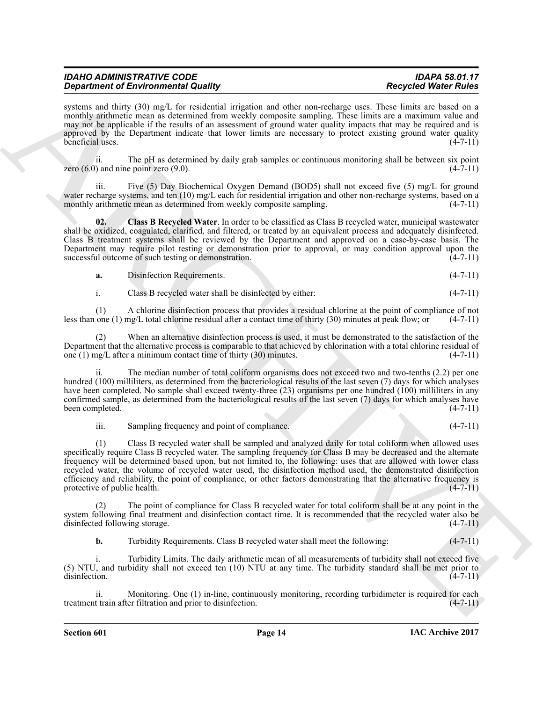| <b>IDAHO ADMINISTRATIVE CODE</b>           | <b>IDAPA 58.01.17</b>       |
|--------------------------------------------|-----------------------------|
| <b>Department of Environmental Quality</b> | <b>Recycled Water Rules</b> |

systems and thirty (30) mg/L for residential irrigation and other non-recharge uses. These limits are based on a monthly arithmetic mean as determined from weekly composite sampling. These limits are a maximum value and may not be applicable if the results of an assessment of ground water quality impacts that may be required and is approved by the Department indicate that lower limits are necessary to protect existing ground water quality beneficial uses. (4-7-11)

ii. The pH as determined by daily grab samples or continuous monitoring shall be between six point (4-7-11) and nine point zero  $(9.0)$ . zero  $(6.0)$  and nine point zero  $(9.0)$ .

Five (5) Day Biochemical Oxygen Demand (BOD5) shall not exceed five (5) mg/L for ground water recharge systems, and ten (10) mg/L each for residential irrigation and other non-recharge systems, based on a monthly arithmetic mean as determined from weekly composite sampling. (4-7-11)

<span id="page-13-0"></span>**02. Class B Recycled Water**. In order to be classified as Class B recycled water, municipal wastewater shall be oxidized, coagulated, clarified, and filtered, or treated by an equivalent process and adequately disinfected. Class B treatment systems shall be reviewed by the Department and approved on a case-by-case basis. The Department may require pilot testing or demonstration prior to approval, or may condition approval upon the successful outcome of such testing or demonstration.  $(4-7-11)$ 

| -а. | Disinfection Requirements. |  | $(4 - 7 - 11)$ |
|-----|----------------------------|--|----------------|
|-----|----------------------------|--|----------------|

i. Class B recycled water shall be disinfected by either: (4-7-11)

(1) A chlorine disinfection process that provides a residual chlorine at the point of compliance of not less than one (1) mg/L total chlorine residual after a contact time of thirty (30) minutes at peak flow; or (4-7-11)

(2) When an alternative disinfection process is used, it must be demonstrated to the satisfaction of the Department that the alternative process is comparable to that achieved by chlorination with a total chlorine residual of one  $(1)$  mg/L after a minimum contact time of thirty  $(30)$  minutes.  $(4-7-11)$ 

ii. The median number of total coliform organisms does not exceed two and two-tenths (2.2) per one hundred (100) milliliters, as determined from the bacteriological results of the last seven (7) days for which analyses have been completed. No sample shall exceed twenty-three (23) organisms per one hundred (100) milliliters in any confirmed sample, as determined from the bacteriological results of the last seven (7) days for which analyses have<br>(4-7-11) (4-7-11) been completed.

iii. Sampling frequency and point of compliance. (4-7-11)

**Stationarist of Entropology and the sympaton and other meta-hange that the sympaton of the sympaton of the sympaton of the sympaton of the sympaton of the sympaton of the sympaton of the sympaton of the sympaton of the s** (1) Class B recycled water shall be sampled and analyzed daily for total coliform when allowed uses specifically require Class B recycled water. The sampling frequency for Class B may be decreased and the alternate frequency will be determined based upon, but not limited to, the following: uses that are allowed with lower class recycled water, the volume of recycled water used, the disinfection method used, the demonstrated disinfection efficiency and reliability, the point of compliance, or other factors demonstrating that the alternative frequency is protective of public health.  $(4-7-11)$ protective of public health.

The point of compliance for Class B recycled water for total coliform shall be at any point in the system following final treatment and disinfection contact time. It is recommended that the recycled water also be disinfected following storage. (4-7-11)

**b.** Turbidity Requirements. Class B recycled water shall meet the following:  $(4-7-11)$ 

i. Turbidity Limits. The daily arithmetic mean of all measurements of turbidity shall not exceed five (5) NTU, and turbidity shall not exceed ten (10) NTU at any time. The turbidity standard shall be met prior to disinfection. (4-7-11)

ii. Monitoring. One (1) in-line, continuously monitoring, recording turbidimeter is required for each treatment train after filtration and prior to disinfection. (4-7-11)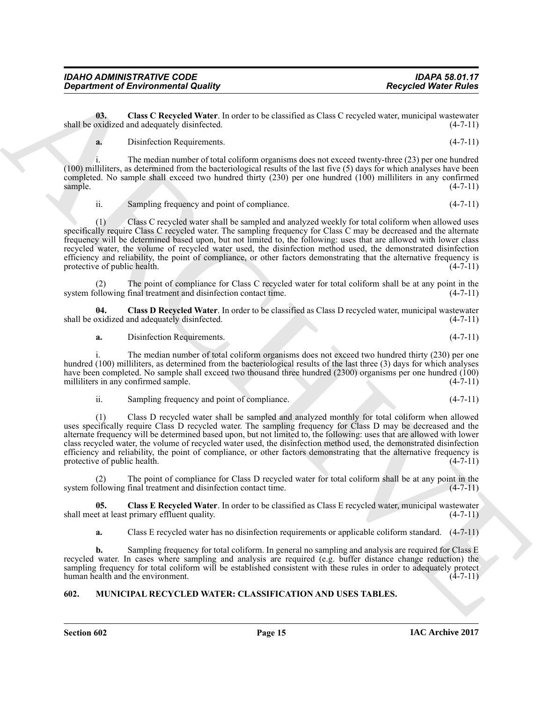| IDAHO ADMINISTRATIVE CODE                  | <b>IDAPA 58.01.17</b>       |
|--------------------------------------------|-----------------------------|
| <b>Department of Environmental Quality</b> | <b>Recycled Water Rules</b> |

**03. Class C Recycled Water**. In order to be classified as Class C recycled water, municipal wastewater shall be oxidized and adequately disinfected. (4-7-11)

<span id="page-14-2"></span>**a.** Disinfection Requirements. (4-7-11)

i. The median number of total coliform organisms does not exceed twenty-three (23) per one hundred (100) milliliters, as determined from the bacteriological results of the last five (5) days for which analyses have been completed. No sample shall exceed two hundred thirty (230) per one hundred (100) milliliters in any confirmed  $\text{sample.}$  (4-7-11)

ii. Sampling frequency and point of compliance. (4-7-11)

**Department of Environmental Quality . Recycled Water Follow**<br> **ARCHIVES** the CRIVING UNIT CONTINUES IN the Case of the Case of the Case of the Case of the Case of the CRIVING UNIT CONTINUES (49)<br> **ARCHIVES THE CONTINUE** (1) Class C recycled water shall be sampled and analyzed weekly for total coliform when allowed uses specifically require Class C recycled water. The sampling frequency for Class C may be decreased and the alternate frequency will be determined based upon, but not limited to, the following: uses that are allowed with lower class recycled water, the volume of recycled water used, the disinfection method used, the demonstrated disinfection efficiency and reliability, the point of compliance, or other factors demonstrating that the alternative frequency is protective of public health. (4-7-11) (4-7-11)

The point of compliance for Class C recycled water for total coliform shall be at any point in the final treatment and disinfection contact time. (4-7-11) system following final treatment and disinfection contact time.

**04. Class D Recycled Water**. In order to be classified as Class D recycled water, municipal wastewater shall be oxidized and adequately disinfected. (4-7-11)

<span id="page-14-3"></span>**a.** Disinfection Requirements. (4-7-11)

i. The median number of total coliform organisms does not exceed two hundred thirty (230) per one hundred (100) milliliters, as determined from the bacteriological results of the last three (3) days for which analyses have been completed. No sample shall exceed two thousand three hundred (2300) organisms per one hundred (100) milliliters in any confirmed sample. (4-7-11) milliliters in any confirmed sample.

ii. Sampling frequency and point of compliance. (4-7-11)

(1) Class D recycled water shall be sampled and analyzed monthly for total coliform when allowed uses specifically require Class D recycled water. The sampling frequency for Class D may be decreased and the alternate frequency will be determined based upon, but not limited to, the following: uses that are allowed with lower class recycled water, the volume of recycled water used, the disinfection method used, the demonstrated disinfection efficiency and reliability, the point of compliance, or other factors demonstrating that the alternative frequency is protective of public health. (4-7-11) protective of public health.

The point of compliance for Class D recycled water for total coliform shall be at any point in the system following final treatment and disinfection contact time. (4-7-11)

**05. Class E Recycled Water**. In order to be classified as Class E recycled water, municipal wastewater shall meet at least primary effluent quality. (4-7-11)

<span id="page-14-4"></span>**a.** Class E recycled water has no disinfection requirements or applicable coliform standard. (4-7-11)

**b.** Sampling frequency for total coliform. In general no sampling and analysis are required for Class E recycled water. In cases where sampling and analysis are required (e.g. buffer distance change reduction) the sampling frequency for total coliform will be established consistent with these rules in order to adequately protect human health and the environment. (4-7-11)

# <span id="page-14-1"></span><span id="page-14-0"></span>**602. MUNICIPAL RECYCLED WATER: CLASSIFICATION AND USES TABLES.**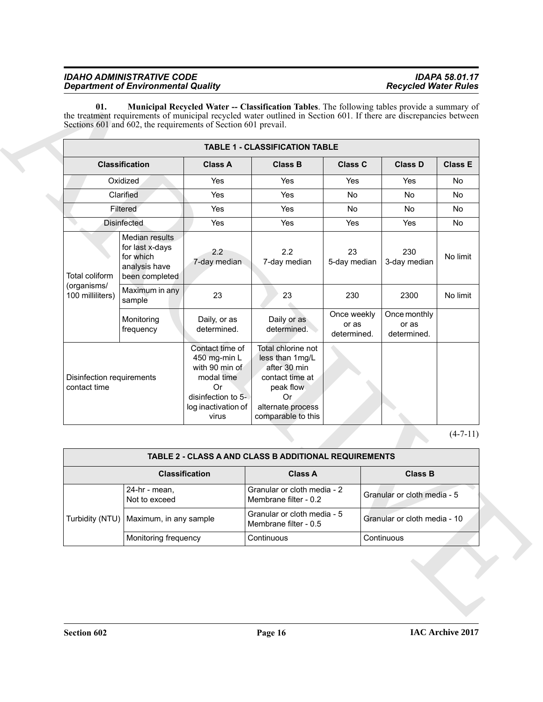<span id="page-15-0"></span>

|                                           |                                                                                   |                                                                                                                             | <b>TABLE 1 - CLASSIFICATION TABLE</b>                                                                                                  |                                     |                             |                                      |                |  |
|-------------------------------------------|-----------------------------------------------------------------------------------|-----------------------------------------------------------------------------------------------------------------------------|----------------------------------------------------------------------------------------------------------------------------------------|-------------------------------------|-----------------------------|--------------------------------------|----------------|--|
| <b>Classification</b>                     |                                                                                   | <b>Class A</b>                                                                                                              | <b>Class B</b>                                                                                                                         | <b>Class C</b>                      | <b>Class D</b>              |                                      | <b>Class E</b> |  |
|                                           | Oxidized                                                                          | Yes                                                                                                                         | Yes                                                                                                                                    | Yes                                 |                             | Yes                                  | No             |  |
|                                           | Clarified                                                                         | Yes                                                                                                                         | Yes                                                                                                                                    | No                                  |                             | No                                   | <b>No</b>      |  |
|                                           | Filtered                                                                          | Yes                                                                                                                         | Yes                                                                                                                                    | No                                  |                             | No.                                  | No             |  |
|                                           | <b>Disinfected</b>                                                                | Yes                                                                                                                         | Yes                                                                                                                                    | Yes                                 |                             | Yes                                  | No             |  |
| Total coliform                            | Median results<br>for last x-days<br>for which<br>analysis have<br>been completed | 2.2<br>7-day median                                                                                                         | 2.2<br>7-day median                                                                                                                    | 23<br>5-day median                  |                             | 230<br>3-day median                  | No limit       |  |
| (organisms/<br>100 milliliters)           | Maximum in any<br>sample                                                          | 23                                                                                                                          | 23                                                                                                                                     | 230                                 |                             | 2300                                 | No limit       |  |
|                                           | Monitoring<br>frequency                                                           | Daily, or as<br>determined.                                                                                                 | Daily or as<br>determined.                                                                                                             | Once weekly<br>or as<br>determined. |                             | Once monthly<br>or as<br>determined. |                |  |
| Disinfection requirements<br>contact time |                                                                                   | Contact time of<br>450 mg-min L<br>with 90 min of<br>modal time<br>Or<br>disinfection to 5-<br>log inactivation of<br>virus | Total chlorine not<br>less than 1mg/L<br>after 30 min<br>contact time at<br>peak flow<br>Or<br>alternate process<br>comparable to this |                                     |                             |                                      |                |  |
|                                           |                                                                                   |                                                                                                                             |                                                                                                                                        |                                     |                             |                                      | $(4-7-11)$     |  |
|                                           |                                                                                   |                                                                                                                             | <b>TABLE 2 - CLASS A AND CLASS B ADDITIONAL REQUIREMENTS</b>                                                                           |                                     |                             |                                      |                |  |
|                                           |                                                                                   | <b>Classification</b>                                                                                                       | <b>Class A</b>                                                                                                                         |                                     |                             | <b>Class B</b>                       |                |  |
|                                           | 24-hr - mean,<br>Not to exceed                                                    |                                                                                                                             | Granular or cloth media - 2<br>Membrane filter - 0.2                                                                                   |                                     | Granular or cloth media - 5 |                                      |                |  |
|                                           | Turbidity (NTU)   Maximum, in any sample                                          |                                                                                                                             | Granular or cloth media - 5<br>Membrane filter - 0.5                                                                                   |                                     |                             | Granular or cloth media - 10         |                |  |
|                                           | Monitoring frequency                                                              |                                                                                                                             | Continuous                                                                                                                             |                                     |                             | Continuous                           |                |  |

| TABLE 2 - CLASS A AND CLASS B ADDITIONAL REQUIREMENTS     |                                          |                                                      |                              |  |  |  |  |  |
|-----------------------------------------------------------|------------------------------------------|------------------------------------------------------|------------------------------|--|--|--|--|--|
| <b>Class B</b><br><b>Classification</b><br><b>Class A</b> |                                          |                                                      |                              |  |  |  |  |  |
|                                                           | 24-hr - mean,<br>Not to exceed           | Granular or cloth media - 2<br>Membrane filter - 0.2 | Granular or cloth media - 5  |  |  |  |  |  |
|                                                           | Turbidity (NTU)   Maximum, in any sample | Granular or cloth media - 5<br>Membrane filter - 0.5 | Granular or cloth media - 10 |  |  |  |  |  |
|                                                           | Monitoring frequency                     | Continuous                                           | Continuous                   |  |  |  |  |  |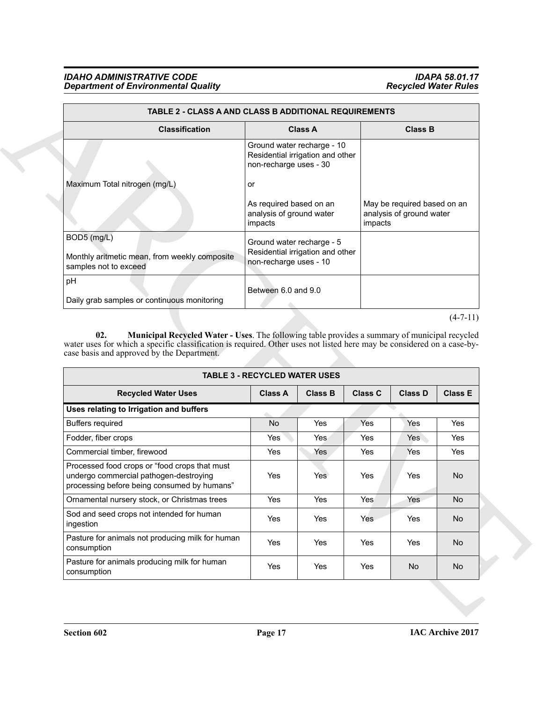<span id="page-16-0"></span>

|                                                                                         | TABLE 2 - CLASS A AND CLASS B ADDITIONAL REQUIREMENTS                                    |                                                                    |  |  |  |  |  |  |
|-----------------------------------------------------------------------------------------|------------------------------------------------------------------------------------------|--------------------------------------------------------------------|--|--|--|--|--|--|
| <b>Classification</b>                                                                   | <b>Class A</b>                                                                           | <b>Class B</b>                                                     |  |  |  |  |  |  |
|                                                                                         | Ground water recharge - 10<br>Residential irrigation and other<br>non-recharge uses - 30 |                                                                    |  |  |  |  |  |  |
| Maximum Total nitrogen (mg/L)                                                           | or                                                                                       |                                                                    |  |  |  |  |  |  |
|                                                                                         | As required based on an<br>analysis of ground water<br>impacts                           | May be required based on an<br>analysis of ground water<br>impacts |  |  |  |  |  |  |
| $BOD5$ (mg/L)<br>Monthly aritmetic mean, from weekly composite<br>samples not to exceed | Ground water recharge - 5<br>Residential irrigation and other<br>non-recharge uses - 10  |                                                                    |  |  |  |  |  |  |
| pH<br>Daily grab samples or continuous monitoring                                       | Between 6.0 and 9.0                                                                      |                                                                    |  |  |  |  |  |  |

| <b>Classification</b>                                                                                                                                                                                                                                                        |                                                                                          | <b>Class A</b> |                | <b>Class B</b>                                                     |                |  |
|------------------------------------------------------------------------------------------------------------------------------------------------------------------------------------------------------------------------------------------------------------------------------|------------------------------------------------------------------------------------------|----------------|----------------|--------------------------------------------------------------------|----------------|--|
|                                                                                                                                                                                                                                                                              | Ground water recharge - 10<br>Residential irrigation and other<br>non-recharge uses - 30 |                |                |                                                                    |                |  |
| Maximum Total nitrogen (mg/L)                                                                                                                                                                                                                                                | or                                                                                       |                |                |                                                                    |                |  |
|                                                                                                                                                                                                                                                                              | As required based on an<br>analysis of ground water<br>impacts                           |                |                | May be required based on an<br>analysis of ground water<br>impacts |                |  |
| BOD5 (mg/L)                                                                                                                                                                                                                                                                  | Ground water recharge - 5                                                                |                |                |                                                                    |                |  |
| Monthly aritmetic mean, from weekly composite<br>samples not to exceed                                                                                                                                                                                                       | Residential irrigation and other<br>non-recharge uses - 10                               |                |                |                                                                    |                |  |
| pH                                                                                                                                                                                                                                                                           | Between 6.0 and 9.0                                                                      |                |                |                                                                    |                |  |
| Daily grab samples or continuous monitoring                                                                                                                                                                                                                                  |                                                                                          |                |                |                                                                    |                |  |
| Municipal Recycled Water - Uses. The following table provides a summary of municipal recycled<br>02.<br>water uses for which a specific classification is required. Other uses not listed here may be considered on a case-by-<br>case basis and approved by the Department. | <b>TABLE 3 - RECYCLED WATER USES</b>                                                     |                |                |                                                                    | $(4-7-11)$     |  |
| <b>Recycled Water Uses</b>                                                                                                                                                                                                                                                   | <b>Class A</b>                                                                           | <b>Class B</b> | <b>Class C</b> | <b>Class D</b>                                                     | <b>Class E</b> |  |
| Uses relating to Irrigation and buffers                                                                                                                                                                                                                                      |                                                                                          |                |                |                                                                    |                |  |
| <b>Buffers required</b>                                                                                                                                                                                                                                                      | No                                                                                       | Yes            | Yes            | Yes                                                                | Yes            |  |
| Fodder, fiber crops                                                                                                                                                                                                                                                          | Yes                                                                                      | Yes            | Yes            | Yes                                                                | Yes            |  |
| Commercial timber, firewood                                                                                                                                                                                                                                                  | Yes                                                                                      | Yes            | Yes            | Yes                                                                | Yes            |  |
| Processed food crops or "food crops that must<br>undergo commercial pathogen-destroying<br>processing before being consumed by humans"                                                                                                                                       | Yes                                                                                      | Yes            | Yes            | Yes                                                                | No.            |  |
| Ornamental nursery stock, or Christmas trees                                                                                                                                                                                                                                 | Yes                                                                                      | Yes            | Yes            | Yes                                                                | No             |  |
| Sod and seed crops not intended for human<br>ingestion                                                                                                                                                                                                                       | Yes                                                                                      | Yes            | Yes            | Yes                                                                | No             |  |
| Pasture for animals not producing milk for human<br>consumption                                                                                                                                                                                                              | Yes                                                                                      | Yes            | Yes            | Yes                                                                | No             |  |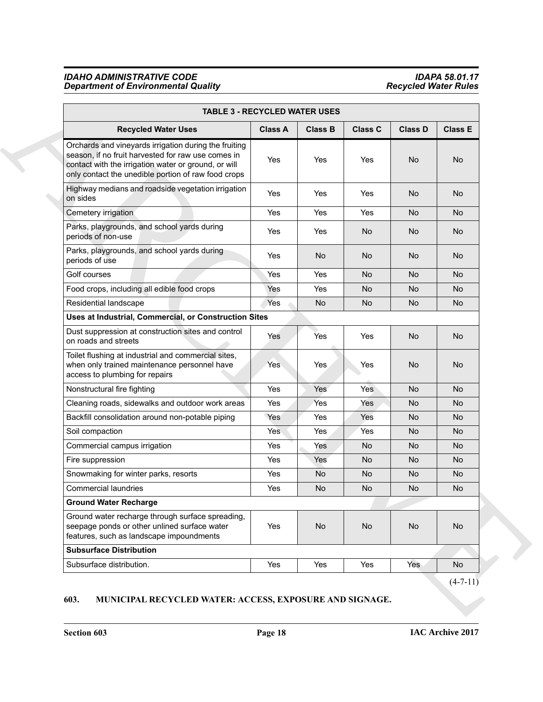| <b>Recycled Water Uses</b>                                                                                                                                                                                                 | <b>Class A</b> | <b>Class B</b> | <b>Class C</b> | <b>Class D</b> | <b>Class E</b> |
|----------------------------------------------------------------------------------------------------------------------------------------------------------------------------------------------------------------------------|----------------|----------------|----------------|----------------|----------------|
| Orchards and vineyards irrigation during the fruiting<br>season, if no fruit harvested for raw use comes in<br>contact with the irrigation water or ground, or will<br>only contact the unedible portion of raw food crops | Yes            | Yes            | Yes            | No             | No             |
| Highway medians and roadside vegetation irrigation<br>on sides                                                                                                                                                             | Yes            | Yes            | Yes            | No             | No             |
| Cemetery irrigation                                                                                                                                                                                                        | Yes            | Yes            | Yes            | <b>No</b>      | <b>No</b>      |
| Parks, playgrounds, and school yards during<br>periods of non-use                                                                                                                                                          | Yes            | Yes            | No.            | No.            | No.            |
| Parks, playgrounds, and school yards during<br>periods of use                                                                                                                                                              | Yes            | No             | No             | No.            | No.            |
| Golf courses                                                                                                                                                                                                               | Yes            | Yes            | No             | <b>No</b>      | <b>No</b>      |
| Food crops, including all edible food crops                                                                                                                                                                                | Yes:           | Yes            | No.            | No.            | No.            |
| Residential landscape                                                                                                                                                                                                      | Yes            | No             | No             | No             | No             |
| Uses at Industrial, Commercial, or Construction Sites                                                                                                                                                                      |                |                |                |                |                |
| Dust suppression at construction sites and control<br>on roads and streets                                                                                                                                                 | Yes            | Yes            | Yes            | No             | No             |
| Toilet flushing at industrial and commercial sites,<br>when only trained maintenance personnel have<br>access to plumbing for repairs                                                                                      | <b>Yes</b>     | Yes            | Yes            | No             | No             |
| Nonstructural fire fighting                                                                                                                                                                                                | Yes            | Yes            | Yes            | <b>No</b>      | <b>No</b>      |
| Cleaning roads, sidewalks and outdoor work areas                                                                                                                                                                           | Yes            | Yes            | Yes            | No.            | No.            |
| Backfill consolidation around non-potable piping                                                                                                                                                                           | Yes            | Yes            | Yes            | No             | No             |
| Soil compaction                                                                                                                                                                                                            | <b>Yes</b>     | Yes            | Yes            | No             | No             |
| Commercial campus irrigation                                                                                                                                                                                               | Yes            | Yes            | No             | No.            | No.            |
| Fire suppression                                                                                                                                                                                                           | Yes            | Yes            | No             | No.            | No             |
| Snowmaking for winter parks, resorts                                                                                                                                                                                       | Yes            | No.            | No             | No.            | No             |
| <b>Commercial laundries</b>                                                                                                                                                                                                | Yes            | <b>No</b>      | No             | <b>No</b>      | <b>No</b>      |
| <b>Ground Water Recharge</b>                                                                                                                                                                                               |                |                |                |                |                |
| Ground water recharge through surface spreading,<br>seepage ponds or other unlined surface water<br>features, such as landscape impoundments                                                                               | Yes            | No             | No             | No             | No             |
| <b>Subsurface Distribution</b>                                                                                                                                                                                             |                |                |                |                |                |
| Subsurface distribution.                                                                                                                                                                                                   | Yes            | Yes            | Yes            | Yes            | No             |

# <span id="page-17-1"></span><span id="page-17-0"></span>**603. MUNICIPAL RECYCLED WATER: ACCESS, EXPOSURE AND SIGNAGE.**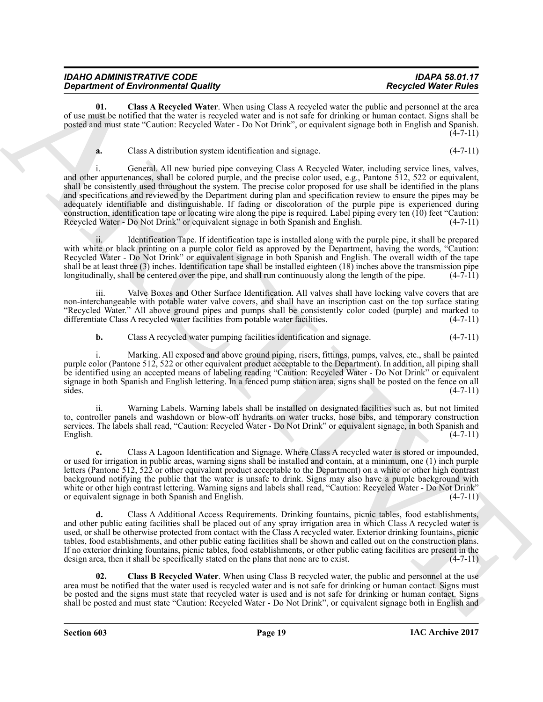| <b>IDAHO ADMINISTRATIVE CODE</b>           | <b>IDAPA 58.01.17</b>       |
|--------------------------------------------|-----------------------------|
| <b>Department of Environmental Quality</b> | <b>Recycled Water Rules</b> |

**01. Class A Recycled Water**. When using Class A recycled water the public and personnel at the area of use must be notified that the water is recycled water and is not safe for drinking or human contact. Signs shall be posted and must state "Caution: Recycled Water - Do Not Drink", or equivalent signage both in English and Spanish.  $(4 - 7 - 11)$ 

<span id="page-18-0"></span>**a.** Class A distribution system identification and signage. (4-7-11)

**Department of Energy in the state of the state of the Assembly state**  $\frac{R}{dt}$  **and**  $\frac{R}{dt}$  **and**  $\frac{R}{dt}$  **and**  $\frac{R}{dt}$  **and**  $\frac{R}{dt}$  **and**  $\frac{R}{dt}$  **and**  $\frac{R}{dt}$  **and**  $\frac{R}{dt}$  **and**  $\frac{R}{dt}$  **and**  $\frac{R}{dt}$  **and**  $\frac{R}{dt}$  **a** i. General. All new buried pipe conveying Class A Recycled Water, including service lines, valves, and other appurtenances, shall be colored purple, and the precise color used, e.g., Pantone 512, 522 or equivalent, shall be consistently used throughout the system. The precise color proposed for use shall be identified in the plans and specifications and reviewed by the Department during plan and specification review to ensure the pipes may be adequately identifiable and distinguishable. If fading or discoloration of the purple pipe is experienced during construction, identification tape or locating wire along the pipe is required. Label piping every ten (10) feet "Caution: Recycled Water - Do Not Drink" or equivalent signage in both Spanish and English. (4-7-11)

ii. Identification Tape. If identification tape is installed along with the purple pipe, it shall be prepared with white or black printing on a purple color field as approved by the Department, having the words, "Caution: Recycled Water - Do Not Drink" or equivalent signage in both Spanish and English. The overall width of the tape shall be at least three (3) inches. Identification tape shall be installed eighteen (18) inches above the transmission pipe longitudinally, shall be centered over the pipe, and shall run continuously along the length of t longitudinally, shall be centered over the pipe, and shall run continuously along the length of the pipe.

iii. Valve Boxes and Other Surface Identification. All valves shall have locking valve covers that are non-interchangeable with potable water valve covers, and shall have an inscription cast on the top surface stating "Recycled Water." All above ground pipes and pumps shall be consistently color coded (purple) and marked to differentiate Class A recycled water facilities from potable water facilities. (4-7-11)

**b.** Class A recycled water pumping facilities identification and signage. (4-7-11)

i. Marking. All exposed and above ground piping, risers, fittings, pumps, valves, etc., shall be painted purple color (Pantone 512, 522 or other equivalent product acceptable to the Department). In addition, all piping shall be identified using an accepted means of labeling reading "Caution: Recycled Water - Do Not Drink" or equivalent signage in both Spanish and English lettering. In a fenced pump station area, signs shall be posted on the fence on all  $sides.$  (4-7-11)

ii. Warning Labels. Warning labels shall be installed on designated facilities such as, but not limited to, controller panels and washdown or blow-off hydrants on water trucks, hose bibs, and temporary construction services. The labels shall read, "Caution: Recycled Water - Do Not Drink" or equivalent signage, in both Spanish and English. (4-7-11)

**c.** Class A Lagoon Identification and Signage. Where Class A recycled water is stored or impounded, or used for irrigation in public areas, warning signs shall be installed and contain, at a minimum, one (1) inch purple letters (Pantone 512, 522 or other equivalent product acceptable to the Department) on a white or other high contrast background notifying the public that the water is unsafe to drink. Signs may also have a purple background with white or other high contrast lettering. Warning signs and labels shall read, "Caution: Recycled Water - Do Not Drink" or equivalent signage in both Spanish and English. (4-7-11)

**d.** Class A Additional Access Requirements. Drinking fountains, picnic tables, food establishments, and other public eating facilities shall be placed out of any spray irrigation area in which Class A recycled water is used, or shall be otherwise protected from contact with the Class A recycled water. Exterior drinking fountains, picnic tables, food establishments, and other public eating facilities shall be shown and called out on the construction plans. If no exterior drinking fountains, picnic tables, food establishments, or other public eating facilities are present in the design area, then it shall be specifically stated on the plans that none are to exist. (4-7-11)

<span id="page-18-1"></span>**02. Class B Recycled Water**. When using Class B recycled water, the public and personnel at the use area must be notified that the water used is recycled water and is not safe for drinking or human contact. Signs must be posted and the signs must state that recycled water is used and is not safe for drinking or human contact. Signs shall be posted and must state "Caution: Recycled Water - Do Not Drink", or equivalent signage both in English and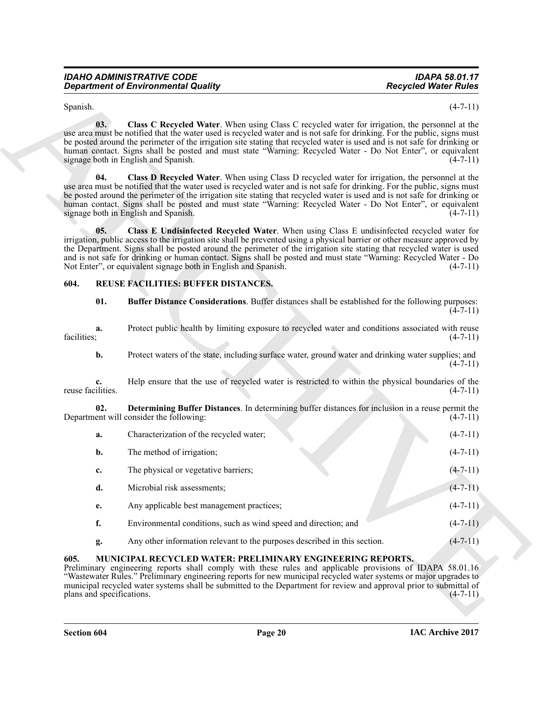<span id="page-19-3"></span><span id="page-19-2"></span>

| <b>IDAHO ADMINISTRATIVE CODE</b>           |  |
|--------------------------------------------|--|
| <b>Department of Environmental Quality</b> |  |

#### <span id="page-19-8"></span><span id="page-19-7"></span><span id="page-19-6"></span><span id="page-19-4"></span><span id="page-19-0"></span>**604. REUSE FACILITIES: BUFFER DISTANCES.**

| Spanish.<br>03.<br>signage both in English and Spanish.<br>04.<br>use area must be notified that the water used is recycled water and is not safe for drinking. For the public, signs must | $(4-7-11)$<br>Class C Recycled Water. When using Class C recycled water for irrigation, the personnel at the<br>use area must be notified that the water used is recycled water and is not safe for drinking. For the public, signs must<br>be posted around the perimeter of the irrigation site stating that recycled water is used and is not safe for drinking or<br>human contact. Signs shall be posted and must state "Warning: Recycled Water - Do Not Enter", or equivalent<br>$(4-7-11)$<br>Class D Recycled Water. When using Class D recycled water for irrigation, the personnel at the |
|--------------------------------------------------------------------------------------------------------------------------------------------------------------------------------------------|------------------------------------------------------------------------------------------------------------------------------------------------------------------------------------------------------------------------------------------------------------------------------------------------------------------------------------------------------------------------------------------------------------------------------------------------------------------------------------------------------------------------------------------------------------------------------------------------------|
|                                                                                                                                                                                            |                                                                                                                                                                                                                                                                                                                                                                                                                                                                                                                                                                                                      |
|                                                                                                                                                                                            |                                                                                                                                                                                                                                                                                                                                                                                                                                                                                                                                                                                                      |
| signage both in English and Spanish.                                                                                                                                                       | be posted around the perimeter of the irrigation site stating that recycled water is used and is not safe for drinking or<br>human contact. Signs shall be posted and must state "Warning: Recycled Water - Do Not Enter", or equivalent<br>$(4-7-11)$                                                                                                                                                                                                                                                                                                                                               |
| 05.<br>Not Enter", or equivalent signage both in English and Spanish.                                                                                                                      | Class E Undisinfected Recycled Water. When using Class E undisinfected recycled water for<br>irrigation, public access to the irrigation site shall be prevented using a physical barrier or other measure approved by<br>the Department. Signs shall be posted around the perimeter of the irrigation site stating that recycled water is used<br>and is not safe for drinking or human contact. Signs shall be posted and must state "Warning: Recycled Water - Do<br>$(4-7-11)$                                                                                                                   |
| REUSE FACILITIES: BUFFER DISTANCES.<br>604.                                                                                                                                                |                                                                                                                                                                                                                                                                                                                                                                                                                                                                                                                                                                                                      |
| 01.                                                                                                                                                                                        | Buffer Distance Considerations. Buffer distances shall be established for the following purposes:<br>$(4-7-11)$                                                                                                                                                                                                                                                                                                                                                                                                                                                                                      |
| a.<br>facilities;                                                                                                                                                                          | Protect public health by limiting exposure to recycled water and conditions associated with reuse<br>$(4-7-11)$                                                                                                                                                                                                                                                                                                                                                                                                                                                                                      |
| b.                                                                                                                                                                                         | Protect waters of the state, including surface water, ground water and drinking water supplies; and<br>$(4-7-11)$                                                                                                                                                                                                                                                                                                                                                                                                                                                                                    |
| c.<br>reuse facilities.                                                                                                                                                                    | Help ensure that the use of recycled water is restricted to within the physical boundaries of the<br>$(4-7-11)$                                                                                                                                                                                                                                                                                                                                                                                                                                                                                      |
| 02.<br>Department will consider the following:                                                                                                                                             | Determining Buffer Distances. In determining buffer distances for inclusion in a reuse permit the<br>$(4-7-11)$                                                                                                                                                                                                                                                                                                                                                                                                                                                                                      |
| Characterization of the recycled water;<br>a.                                                                                                                                              | $(4-7-11)$                                                                                                                                                                                                                                                                                                                                                                                                                                                                                                                                                                                           |
| The method of irrigation;<br>b.                                                                                                                                                            | $(4-7-11)$                                                                                                                                                                                                                                                                                                                                                                                                                                                                                                                                                                                           |
| The physical or vegetative barriers;<br>c.                                                                                                                                                 | $(4 - 7 - 11)$                                                                                                                                                                                                                                                                                                                                                                                                                                                                                                                                                                                       |
| d.<br>Microbial risk assessments;                                                                                                                                                          | $(4-7-11)$                                                                                                                                                                                                                                                                                                                                                                                                                                                                                                                                                                                           |
| Any applicable best management practices;<br>e.                                                                                                                                            | $(4-7-11)$                                                                                                                                                                                                                                                                                                                                                                                                                                                                                                                                                                                           |
| f.<br>Environmental conditions, such as wind speed and direction; and                                                                                                                      | $(4-7-11)$                                                                                                                                                                                                                                                                                                                                                                                                                                                                                                                                                                                           |
| g.                                                                                                                                                                                         | Any other information relevant to the purposes described in this section.<br>$(4-7-11)$                                                                                                                                                                                                                                                                                                                                                                                                                                                                                                              |
| 605.<br>plans and specifications.                                                                                                                                                          | <b>MUNICIPAL RECYCLED WATER: PRELIMINARY ENGINEERING REPORTS.</b><br>Preliminary engineering reports shall comply with these rules and applicable provisions of IDAPA 58.01.16<br>"Wastewater Rules." Preliminary engineering reports for new municipal recycled water systems or major upgrades to<br>municipal recycled water systems shall be submitted to the Department for review and approval prior to submittal of<br>$(4-7-11)$                                                                                                                                                             |

## <span id="page-19-5"></span><span id="page-19-1"></span>**605. MUNICIPAL RECYCLED WATER: PRELIMINARY ENGINEERING REPORTS.**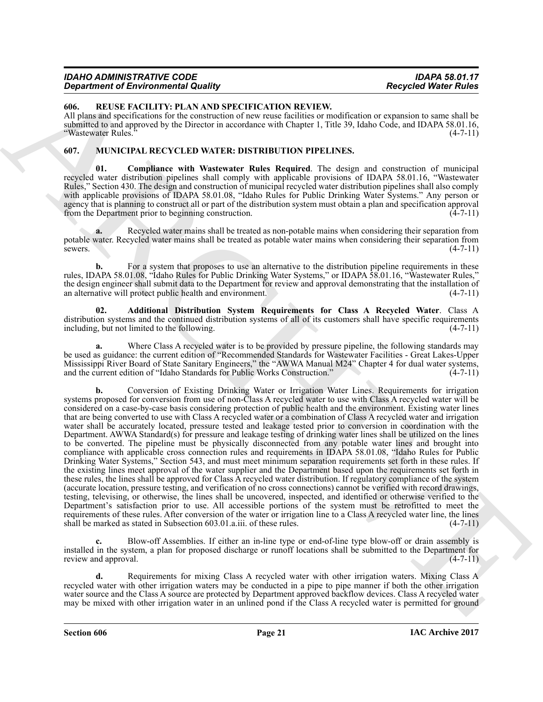| <b>IDAHO ADMINISTRATIVE CODE</b>           | <b>IDAPA 58.01.17</b>       |
|--------------------------------------------|-----------------------------|
| <b>Department of Environmental Quality</b> | <b>Recycled Water Rules</b> |

<span id="page-20-5"></span><span id="page-20-0"></span>**606. REUSE FACILITY: PLAN AND SPECIFICATION REVIEW.**

All plans and specifications for the construction of new reuse facilities or modification or expansion to same shall be submitted to and approved by the Director in accordance with Chapter 1, Title 39, Idaho Code, and IDAPA 58.01.16, "Wastewater Rules." (4-7-11)

#### <span id="page-20-2"></span><span id="page-20-1"></span>**607. MUNICIPAL RECYCLED WATER: DISTRIBUTION PIPELINES.**

<span id="page-20-4"></span>**01. Compliance with Wastewater Rules Required**. The design and construction of municipal recycled water distribution pipelines shall comply with applicable provisions of IDAPA 58.01.16, "Wastewater Rules," Section 430. The design and construction of municipal recycled water distribution pipelines shall also comply with applicable provisions of IDAPA 58.01.08, "Idaho Rules for Public Drinking Water Systems." Any person or agency that is planning to construct all or part of the distribution system must obtain a plan and specification approval<br>from the Department prior to beginning construction. (4-7-11) from the Department prior to beginning construction.

**a.** Recycled water mains shall be treated as non-potable mains when considering their separation from potable water. Recycled water mains shall be treated as potable water mains when considering their separation from sewers.  $(4-7-11)$ 

**b.** For a system that proposes to use an alternative to the distribution pipeline requirements in these rules, IDAPA 58.01.08, "Idaho Rules for Public Drinking Water Systems," or IDAPA 58.01.16, "Wastewater Rules," the design engineer shall submit data to the Department for review and approval demonstrating that the installation of an alternative will protect public health and environment. (4-7-11)

<span id="page-20-3"></span>**02. Additional Distribution System Requirements for Class A Recycled Water**. Class A distribution systems and the continued distribution systems of all of its customers shall have specific requirements including, but not limited to the following. (4-7-11)

**a.** Where Class A recycled water is to be provided by pressure pipeline, the following standards may be used as guidance: the current edition of "Recommended Standards for Wastewater Facilities - Great Lakes-Upper Mississippi River Board of State Sanitary Engineers," the "AWWA Manual M24" Chapter 4 for dual water systems, and the current edition of "Idaho Standards for Public Works Construction." (4-7-11)

**Constraint of Entropological Materials Constraints (a)**<br> **Constraint of Entropological Materials Constraint Constraint Constraint Constraint Constraint Constraint Constraint Constraint Constraint Constraint Constraint Co b.** Conversion of Existing Drinking Water or Irrigation Water Lines. Requirements for irrigation systems proposed for conversion from use of non-Class A recycled water to use with Class A recycled water will be considered on a case-by-case basis considering protection of public health and the environment. Existing water lines that are being converted to use with Class A recycled water or a combination of Class A recycled water and irrigation water shall be accurately located, pressure tested and leakage tested prior to conversion in coordination with the Department. AWWA Standard(s) for pressure and leakage testing of drinking water lines shall be utilized on the lines to be converted. The pipeline must be physically disconnected from any potable water lines and brought into compliance with applicable cross connection rules and requirements in IDAPA 58.01.08, "Idaho Rules for Public Drinking Water Systems," Section 543, and must meet minimum separation requirements set forth in these rules. If the existing lines meet approval of the water supplier and the Department based upon the requirements set forth in these rules, the lines shall be approved for Class A recycled water distribution. If regulatory compliance of the system (accurate location, pressure testing, and verification of no cross connections) cannot be verified with record drawings, testing, televising, or otherwise, the lines shall be uncovered, inspected, and identified or otherwise verified to the Department's satisfaction prior to use. All accessible portions of the system must be retrofitted to meet the requirements of these rules. After conversion of the water or irrigation line to a Class A recycled water line, the lines shall be marked as stated in Subsection 603.01.a.iii. of these rules. (4-7-11)

**c.** Blow-off Assemblies. If either an in-line type or end-of-line type blow-off or drain assembly is installed in the system, a plan for proposed discharge or runoff locations shall be submitted to the Department for review and approval. (4-7-11) (4-7-11)

**d.** Requirements for mixing Class A recycled water with other irrigation waters. Mixing Class A recycled water with other irrigation waters may be conducted in a pipe to pipe manner if both the other irrigation water source and the Class A source are protected by Department approved backflow devices. Class A recycled water may be mixed with other irrigation water in an unlined pond if the Class A recycled water is permitted for ground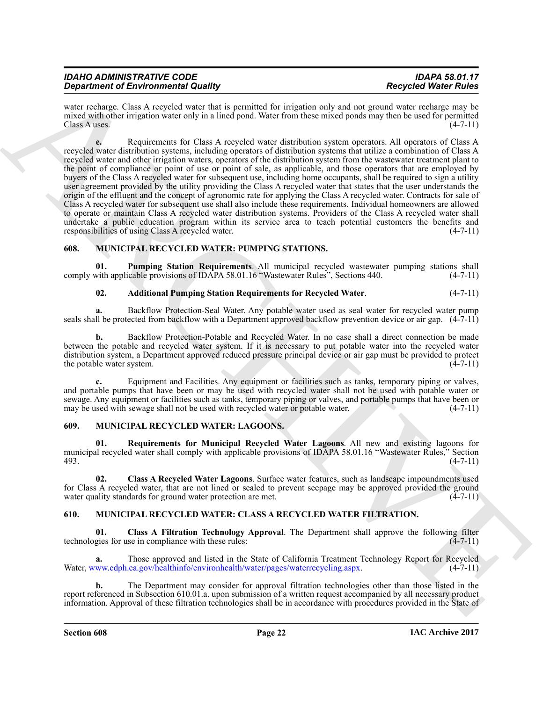| <b>IDAHO ADMINISTRATIVE CODE</b>           | <b>IDAPA 58.01.17</b>       |
|--------------------------------------------|-----------------------------|
| <b>Department of Environmental Quality</b> | <b>Recycled Water Rules</b> |

water recharge. Class A recycled water that is permitted for irrigation only and not ground water recharge may be mixed with other irrigation water only in a lined pond. Water from these mixed ponds may then be used for permitted  $\frac{1}{4}$ Class A uses. (4-7-11)

**Strainer of Environmental Roading Southern Principal Roading Southern Principal Roading Southern Control Control Control Control Control Control Control Control Control Control Control Control Control Control Control Con e.** Requirements for Class A recycled water distribution system operators. All operators of Class A recycled water distribution systems, including operators of distribution systems that utilize a combination of Class A recycled water and other irrigation waters, operators of the distribution system from the wastewater treatment plant to the point of compliance or point of use or point of sale, as applicable, and those operators that are employed by buyers of the Class A recycled water for subsequent use, including home occupants, shall be required to sign a utility user agreement provided by the utility providing the Class A recycled water that states that the user understands the origin of the effluent and the concept of agronomic rate for applying the Class A recycled water. Contracts for sale of Class A recycled water for subsequent use shall also include these requirements. Individual homeowners are allowed to operate or maintain Class A recycled water distribution systems. Providers of the Class A recycled water shall undertake a public education program within its service area to teach potential customers the benefits and responsibilities of using Class A recycled water. (4-7-11)

#### <span id="page-21-8"></span><span id="page-21-0"></span>**608. MUNICIPAL RECYCLED WATER: PUMPING STATIONS.**

**01. Pumping Station Requirements**. All municipal recycled wastewater pumping stations shall comply with applicable provisions of IDAPA 58.01.16 "Wastewater Rules", Sections 440.

#### <span id="page-21-10"></span><span id="page-21-9"></span>**02. Additional Pumping Station Requirements for Recycled Water**. (4-7-11)

**a.** Backflow Protection-Seal Water. Any potable water used as seal water for recycled water pump seals shall be protected from backflow with a Department approved backflow prevention device or air gap.  $(4\text{-}7\text{-}11)$ 

**b.** Backflow Protection-Potable and Recycled Water. In no case shall a direct connection be made between the potable and recycled water system. If it is necessary to put potable water into the recycled water distribution system, a Department approved reduced pressure principal device or air gap must be provided to protect the potable water system. (4-7-11)

**c.** Equipment and Facilities. Any equipment or facilities such as tanks, temporary piping or valves, and portable pumps that have been or may be used with recycled water shall not be used with potable water or sewage. Any equipment or facilities such as tanks, temporary piping or valves, and portable pumps that have been or may be used with sewage shall not be used with recycled water or potable water. (4-7-11) may be used with sewage shall not be used with recycled water or potable water.

#### <span id="page-21-5"></span><span id="page-21-1"></span>**609. MUNICIPAL RECYCLED WATER: LAGOONS.**

<span id="page-21-7"></span>**01. Requirements for Municipal Recycled Water Lagoons**. All new and existing lagoons for municipal recycled water shall comply with applicable provisions of IDAPA 58.01.16 "Wastewater Rules," Section 493. (4-7-11)

<span id="page-21-6"></span>**02. Class A Recycled Water Lagoons**. Surface water features, such as landscape impoundments used for Class A recycled water, that are not lined or sealed to prevent seepage may be approved provided the ground water quality standards for ground water protection are met.  $(4-7-11)$ 

#### <span id="page-21-3"></span><span id="page-21-2"></span>**610. MUNICIPAL RECYCLED WATER: CLASS A RECYCLED WATER FILTRATION.**

<span id="page-21-4"></span>**01.** Class A Filtration Technology Approval. The Department shall approve the following filter gies for use in compliance with these rules: (4-7-11) technologies for use in compliance with these rules:

**a.** Those approved and listed in the State of California Treatment Technology Report for Recycled Water, www.cdph.ca.gov/healthinfo/environhealth/water/pages/waterrecycling.aspx. (4-7-11)

**b.** The Department may consider for approval filtration technologies other than those listed in the report referenced in Subsection 610.01.a. upon submission of a written request accompanied by all necessary product information. Approval of these filtration technologies shall be in accordance with procedures provided in the State of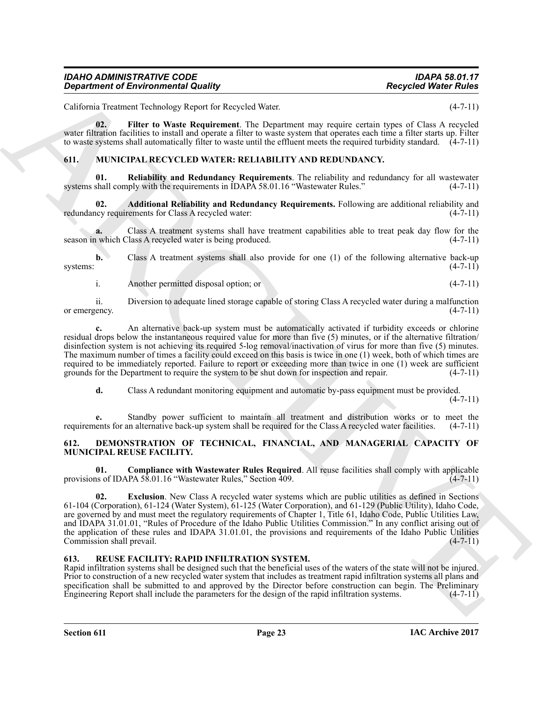| <b>IDAHO ADMINISTRATIVE CODE</b>           | <b>IDAPA 58.01.17</b>       |
|--------------------------------------------|-----------------------------|
| <b>Department of Environmental Quality</b> | <b>Recycled Water Rules</b> |

California Treatment Technology Report for Recycled Water. (4-7-11)

<span id="page-22-6"></span>**02. Filter to Waste Requirement**. The Department may require certain types of Class A recycled water filtration facilities to install and operate a filter to waste system that operates each time a filter starts up. Filter to waste systems shall automatically filter to waste until the effluent meets the required turbidity standard.  $(4-7-11)$ 

#### <span id="page-22-7"></span><span id="page-22-0"></span>**611. MUNICIPAL RECYCLED WATER: RELIABILITY AND REDUNDANCY.**

<span id="page-22-9"></span>**01. Reliability and Redundancy Requirements**. The reliability and redundancy for all wastewater systems shall comply with the requirements in IDAPA 58.01.16 "Wastewater Rules." (4-7-11)

<span id="page-22-8"></span>**02. Additional Reliability and Redundancy Requirements.** Following are additional reliability and ncy requirements for Class A recycled water: (4-7-11) redundancy requirements for Class A recycled water:

**a.** Class A treatment systems shall have treatment capabilities able to treat peak day flow for the season in which Class A recycled water is being produced. (4-7-11)

**b.** Class A treatment systems shall also provide for one (1) of the following alternative back-up systems:  $(4-7-11)$ 

i. Another permitted disposal option; or (4-7-11)

ii. Diversion to adequate lined storage capable of storing Class A recycled water during a malfunction or emergency.

**c.** An alternative back-up system must be automatically activated if turbidity exceeds or chlorine residual drops below the instantaneous required value for more than five (5) minutes, or if the alternative filtration/ disinfection system is not achieving its required 5-log removal/inactivation of virus for more than five (5) minutes. The maximum number of times a facility could exceed on this basis is twice in one (1) week, both of which times are required to be immediately reported. Failure to report or exceeding more than twice in one (1) week are sufficient grounds for the Department to require the system to be shut down for inspection and repair. (4-7-11)

**d.** Class A redundant monitoring equipment and automatic by-pass equipment must be provided.

 $(4 - 7 - 11)$ 

**e.** Standby power sufficient to maintain all treatment and distribution works or to meet the requirements for an alternative back-up system shall be required for the Class A recycled water facilities. (4-7-11)

#### <span id="page-22-3"></span><span id="page-22-1"></span>**612. DEMONSTRATION OF TECHNICAL, FINANCIAL, AND MANAGERIAL CAPACITY OF MUNICIPAL REUSE FACILITY.**

<span id="page-22-5"></span><span id="page-22-4"></span>**01. Compliance with Wastewater Rules Required**. All reuse facilities shall comply with applicable provisions of IDAPA 58.01.16 "Wastewater Rules," Section 409. (4-7-11)

**Consideration of Environmental Quality<br>
Collaints: The same Franchise Reservoir The Department The Department rate responses the same of Figure 1998<br>
Collaint European Constitution of the Department The Department rate r 02. Exclusion**. New Class A recycled water systems which are public utilities as defined in Sections 61-104 (Corporation), 61-124 (Water System), 61-125 (Water Corporation), and 61-129 (Public Utility), Idaho Code, are governed by and must meet the regulatory requirements of Chapter 1, Title 61, Idaho Code, Public Utilities Law, and IDAPA 31.01.01, "Rules of Procedure of the Idaho Public Utilities Commission." In any conflict arising out of the application of these rules and IDAPA 31.01.01, the provisions and requirements of the Idaho Public Utilities Commission shall prevail. (4-7-11)

#### <span id="page-22-10"></span><span id="page-22-2"></span>**613. REUSE FACILITY: RAPID INFILTRATION SYSTEM.**

Rapid infiltration systems shall be designed such that the beneficial uses of the waters of the state will not be injured. Prior to construction of a new recycled water system that includes as treatment rapid infiltration systems all plans and specification shall be submitted to and approved by the Director before construction can begin. The Preliminary Engineering Report shall include the parameters for the design of the rapid infiltration systems. (4-7-11)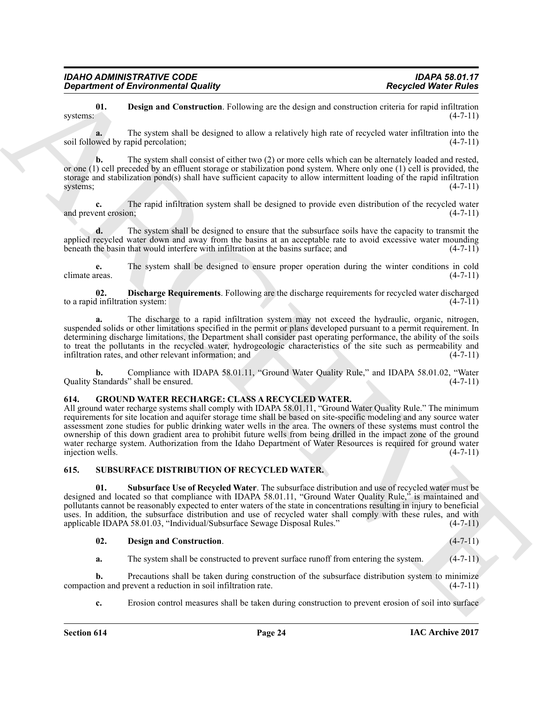<span id="page-23-3"></span>**01. Design and Construction**. Following are the design and construction criteria for rapid infiltration (4-7-11) systems:  $(4-7-11)$ 

**a.** The system shall be designed to allow a relatively high rate of recycled water infiltration into the soil followed by rapid percolation; (4-7-11)

**b.** The system shall consist of either two (2) or more cells which can be alternately loaded and rested, or one (1) cell preceded by an effluent storage or stabilization pond system. Where only one (1) cell is provided, the storage and stabilization pond(s) shall have sufficient capacity to allow intermittent loading of the rapid infiltration systems;  $(4-7-11)$ 

**c.** The rapid infiltration system shall be designed to provide even distribution of the recycled water ent erosion: (4-7-11) and prevent erosion;

**d.** The system shall be designed to ensure that the subsurface soils have the capacity to transmit the applied recycled water down and away from the basins at an acceptable rate to avoid excessive water mounding beneath the basin that would interfere with infiltration at the basins surface; and (4-7-11) beneath the basin that would interfere with infiltration at the basins surface; and

**e.** The system shall be designed to ensure proper operation during the winter conditions in cold  $\epsilon$  climate areas. (4-7-11)

<span id="page-23-4"></span>**02. Discharge Requirements**. Following are the discharge requirements for recycled water discharged to a rapid infiltration system:

**a.** The discharge to a rapid infiltration system may not exceed the hydraulic, organic, nitrogen, suspended solids or other limitations specified in the permit or plans developed pursuant to a permit requirement. In determining discharge limitations, the Department shall consider past operating performance, the ability of the soils to treat the pollutants in the recycled water, hydrogeologic characteristics of the site such as permeability and infiltration rates, and other relevant information; and (4-7-11) infiltration rates, and other relevant information; and

**b.** Compliance with IDAPA 58.01.11, "Ground Water Quality Rule," and IDAPA 58.01.02, "Water Standards" shall be ensured. (4-7-11) Quality Standards" shall be ensured.

#### <span id="page-23-2"></span><span id="page-23-0"></span>**614. GROUND WATER RECHARGE: CLASS A RECYCLED WATER.**

**Experiment of Environmental Quality.**<br> **Respectively. Respectively. Respectively. Respectively. Respectively. Respectively. Respectively. The value and Constraint Follow Facility (1998) ARCHIVE CONSTRAINS** All ground water recharge systems shall comply with IDAPA 58.01.11, "Ground Water Quality Rule." The minimum requirements for site location and aquifer storage time shall be based on site-specific modeling and any source water assessment zone studies for public drinking water wells in the area. The owners of these systems must control the ownership of this down gradient area to prohibit future wells from being drilled in the impact zone of the ground water recharge system. Authorization from the Idaho Department of Water Resources is required for ground water<br>injection wells. (4-7-11) injection wells.

#### <span id="page-23-5"></span><span id="page-23-1"></span>**615. SUBSURFACE DISTRIBUTION OF RECYCLED WATER.**

<span id="page-23-7"></span>**01. Subsurface Use of Recycled Water**. The subsurface distribution and use of recycled water must be designed and located so that compliance with IDAPA 58.01.11, "Ground Water Quality Rule," is maintained and pollutants cannot be reasonably expected to enter waters of the state in concentrations resulting in injury to beneficial uses. In addition, the subsurface distribution and use of recycled water shall comply with these rules, and with applicable IDAPA 58.01.03, "Individual/Subsurface Sewage Disposal Rules." (4-7-11)

#### <span id="page-23-6"></span>**02. Design and Construction**. (4-7-11)

**a.** The system shall be constructed to prevent surface runoff from entering the system. (4-7-11)

**b.** Precautions shall be taken during construction of the subsurface distribution system to minimize ion and prevent a reduction in soil infiltration rate.  $(4-7-11)$ compaction and prevent a reduction in soil infiltration rate.

**c.** Erosion control measures shall be taken during construction to prevent erosion of soil into surface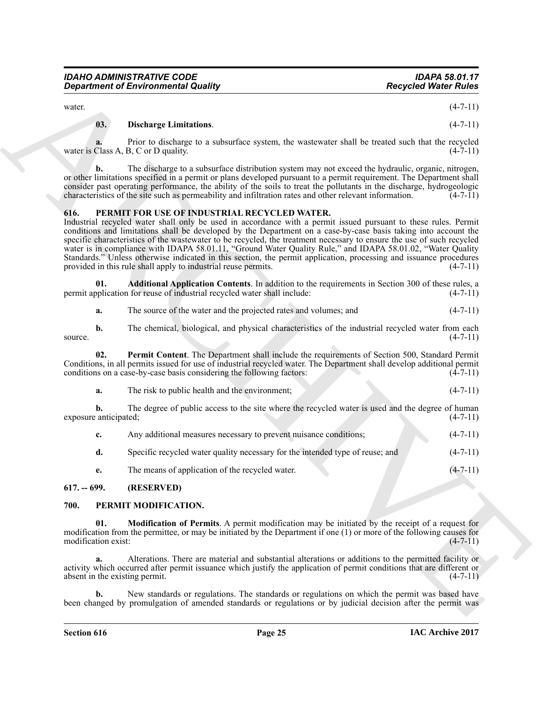| <b>IDAHO ADMINISTRATIVE CODE</b>           | <b>IDAPA 58.01.17</b>       |
|--------------------------------------------|-----------------------------|
| <b>Department of Environmental Quality</b> | <b>Recycled Water Rules</b> |

water.  $(4-7-11)$ 

#### <span id="page-24-8"></span>**03. Discharge Limitations**. (4-7-11)

**a.** Prior to discharge to a subsurface system, the wastewater shall be treated such that the recycled water is Class A, B, C or D quality.  $(4-7-11)$ 

**b.** The discharge to a subsurface distribution system may not exceed the hydraulic, organic, nitrogen, or other limitations specified in a permit or plans developed pursuant to a permit requirement. The Department shall consider past operating performance, the ability of the soils to treat the pollutants in the discharge, hydrogeologic characteristics of the site such as permeability and infiltration rates and other relevant information.  $(4-7-11)$ 

#### <span id="page-24-3"></span><span id="page-24-0"></span>**616. PERMIT FOR USE OF INDUSTRIAL RECYCLED WATER.**

Government of Environmental Quality<br>
exerts. This has proposed Water Adviser control (4-7-1)<br>
the hast control in the control interaction of the same of the control interaction of the same of the control interaction of th Industrial recycled water shall only be used in accordance with a permit issued pursuant to these rules. Permit conditions and limitations shall be developed by the Department on a case-by-case basis taking into account the specific characteristics of the wastewater to be recycled, the treatment necessary to ensure the use of such recycled water is in compliance with IDAPA 58.01.11, "Ground Water Quality Rule," and IDAPA 58.01.02, "Water Quality Standards." Unless otherwise indicated in this section, the permit application, processing and issuance procedures provided in this rule shall apply to industrial reuse permits. (4-7-11)

**01. Additional Application Contents**. In addition to the requirements in Section 300 of these rules, a oplication for reuse of industrial recycled water shall include:  $(4-7-11)$ permit application for reuse of industrial recycled water shall include:

<span id="page-24-5"></span><span id="page-24-4"></span>

| a. | The source of the water and the projected rates and volumes; and |  |
|----|------------------------------------------------------------------|--|
|----|------------------------------------------------------------------|--|

**b.** The chemical, biological, and physical characteristics of the industrial recycled water from each source.  $(4-7-11)$ 

**02. Permit Content**. The Department shall include the requirements of Section 500, Standard Permit Conditions, in all permits issued for use of industrial recycled water. The Department shall develop additional permit conditions on a case-by-case basis considering the following factors:

| The risk to public health and the environment:<br>a. |  |
|------------------------------------------------------|--|
|------------------------------------------------------|--|

**b.** The degree of public access to the site where the recycled water is used and the degree of human exposure anticipated; (4-7-11)

| Any additional measures necessary to prevent nuisance conditions;             | $(4-7-11)$ |
|-------------------------------------------------------------------------------|------------|
| Specific recycled water quality necessary for the intended type of reuse; and | $(4-7-11)$ |

<span id="page-24-7"></span><span id="page-24-6"></span>**e.** The means of application of the recycled water. (4-7-11)

#### <span id="page-24-1"></span>**617. -- 699. (RESERVED)**

#### <span id="page-24-2"></span>**700. PERMIT MODIFICATION.**

**01. Modification of Permits**. A permit modification may be initiated by the receipt of a request for modification from the permittee, or may be initiated by the Department if one (1) or more of the following causes for modification exist:  $(4-7-11)$ modification exist:

**a.** Alterations. There are material and substantial alterations or additions to the permitted facility or activity which occurred after permit issuance which justify the application of permit conditions that are different or absent in the existing permit. (4-7-11)

**b.** New standards or regulations. The standards or regulations on which the permit was based have been changed by promulgation of amended standards or regulations or by judicial decision after the permit was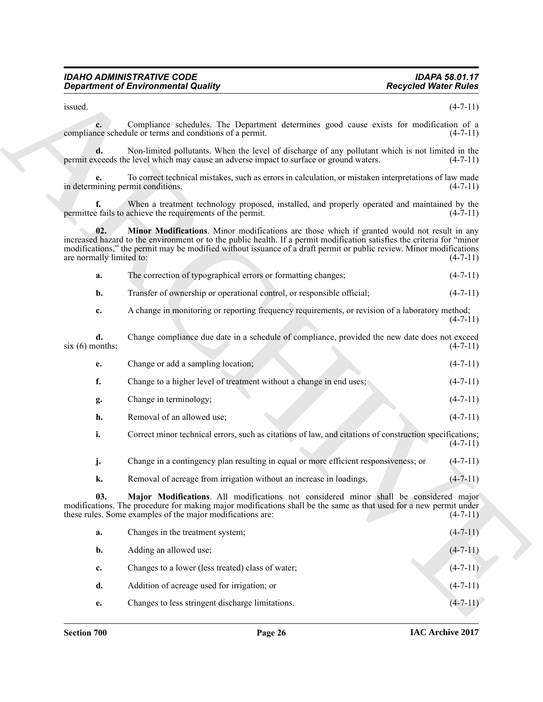<span id="page-25-1"></span>

| а. |  |  | The correction of typographical errors or formatting changes; | $(4-7-11)$ |
|----|--|--|---------------------------------------------------------------|------------|
|----|--|--|---------------------------------------------------------------|------------|

| e. | Change or add a sampling location;                                                                      | $(4-7-11)$ |
|----|---------------------------------------------------------------------------------------------------------|------------|
|    | Change to a higher level of treatment without a change in end uses;                                     | $(4-7-11)$ |
| g. | Change in terminology;                                                                                  | $(4-7-11)$ |
| h. | Removal of an allowed use;                                                                              | $(4-7-11)$ |
|    | Correct minor technical errors, such as citations of law, and citations of construction specifications; |            |

<span id="page-25-0"></span>

| Change in a contingency plan resulting in equal or more efficient responsiveness; or $(4-7-11)$ |  |
|-------------------------------------------------------------------------------------------------|--|
|                                                                                                 |  |

|                                   | <b>Department of Environmental Quality</b>                                                                                                                                                                                                                                                                                                    | <b>Recycled Water Rules</b> |  |
|-----------------------------------|-----------------------------------------------------------------------------------------------------------------------------------------------------------------------------------------------------------------------------------------------------------------------------------------------------------------------------------------------|-----------------------------|--|
| issued.                           |                                                                                                                                                                                                                                                                                                                                               | $(4-7-11)$                  |  |
| c.                                | Compliance schedules. The Department determines good cause exists for modification of a<br>compliance schedule or terms and conditions of a permit.                                                                                                                                                                                           | $(4-7-11)$                  |  |
|                                   | Non-limited pollutants. When the level of discharge of any pollutant which is not limited in the<br>permit exceeds the level which may cause an adverse impact to surface or ground waters.                                                                                                                                                   | $(4-7-11)$                  |  |
| in determining permit conditions. | To correct technical mistakes, such as errors in calculation, or mistaken interpretations of law made                                                                                                                                                                                                                                         | $(4-7-11)$                  |  |
| f.                                | When a treatment technology proposed, installed, and properly operated and maintained by the<br>permittee fails to achieve the requirements of the permit.                                                                                                                                                                                    | $(4-7-11)$                  |  |
| 02.<br>are normally limited to:   | Minor Modifications. Minor modifications are those which if granted would not result in any<br>increased hazard to the environment or to the public health. If a permit modification satisfies the criteria for "minor<br>modifications," the permit may be modified without issuance of a draft permit or public review. Minor modifications | $(4-7-11)$                  |  |
| a.                                | The correction of typographical errors or formatting changes;                                                                                                                                                                                                                                                                                 | $(4-7-11)$                  |  |
| $\mathbf{b}$ .                    | Transfer of ownership or operational control, or responsible official;                                                                                                                                                                                                                                                                        | $(4-7-11)$                  |  |
| c.                                | A change in monitoring or reporting frequency requirements, or revision of a laboratory method;                                                                                                                                                                                                                                               | $(4-7-11)$                  |  |
| d.<br>$six(6)$ months;            | Change compliance due date in a schedule of compliance, provided the new date does not exceed                                                                                                                                                                                                                                                 | $(4-7-11)$                  |  |
| e.                                | Change or add a sampling location;                                                                                                                                                                                                                                                                                                            | $(4-7-11)$                  |  |
| f.                                | Change to a higher level of treatment without a change in end uses;                                                                                                                                                                                                                                                                           | $(4-7-11)$                  |  |
| g.                                | Change in terminology;                                                                                                                                                                                                                                                                                                                        | $(4-7-11)$                  |  |
| h.                                | Removal of an allowed use;                                                                                                                                                                                                                                                                                                                    | $(4-7-11)$                  |  |
| i.                                | Correct minor technical errors, such as citations of law, and citations of construction specifications;                                                                                                                                                                                                                                       | $(4-7-11)$                  |  |
| j.                                | Change in a contingency plan resulting in equal or more efficient responsiveness; or                                                                                                                                                                                                                                                          | $(4-7-11)$                  |  |
| k.                                | Removal of acreage from irrigation without an increase in loadings.                                                                                                                                                                                                                                                                           | $(4 - 7 - 11)$              |  |
| 03.                               | Major Modifications. All modifications not considered minor shall be considered major<br>modifications. The procedure for making major modifications shall be the same as that used for a new permit under<br>these rules. Some examples of the major modifications are:                                                                      | $(4-7-11)$                  |  |
| a.                                | Changes in the treatment system;                                                                                                                                                                                                                                                                                                              | $(4 - 7 - 11)$              |  |
| b.                                | Adding an allowed use;                                                                                                                                                                                                                                                                                                                        | $(4-7-11)$                  |  |
| c.                                | Changes to a lower (less treated) class of water;                                                                                                                                                                                                                                                                                             | $(4-7-11)$                  |  |
| d.                                | Addition of acreage used for irrigation; or                                                                                                                                                                                                                                                                                                   | $(4-7-11)$                  |  |
| e.                                | Changes to less stringent discharge limitations.                                                                                                                                                                                                                                                                                              | $(4-7-11)$                  |  |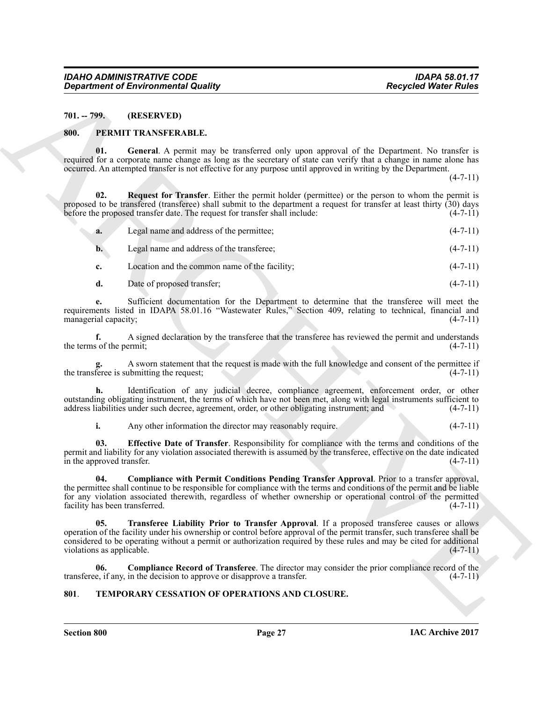<span id="page-26-0"></span>**701. -- 799. (RESERVED)**

#### <span id="page-26-3"></span><span id="page-26-1"></span>**800. PERMIT TRANSFERABLE.**

<span id="page-26-7"></span>**01. General**. A permit may be transferred only upon approval of the Department. No transfer is required for a corporate name change as long as the secretary of state can verify that a change in name alone has occurred. An attempted transfer is not effective for any purpose until approved in writing by the Department.

 $(4 - 7 - 11)$ 

**02. Request for Transfer**. Either the permit holder (permittee) or the person to whom the permit is proposed to be transfered (transferee) shall submit to the department a request for transfer at least thirty (30) days<br>before the proposed transfer date. The request for transfer shall include: (4-7-11) before the proposed transfer date. The request for transfer shall include:

<span id="page-26-8"></span>

| a. | Legal name and address of the permittee:  | $(4-7-11)$     |
|----|-------------------------------------------|----------------|
|    | Legal name and address of the transferee: | $(4 - 7 - 11)$ |

**c.** Location and the common name of the facility; (4-7-11)

| d. | Date of proposed transfer: | $(4-7-11)$ |
|----|----------------------------|------------|
|    |                            |            |

**e.** Sufficient documentation for the Department to determine that the transferee will meet the requirements listed in IDAPA 58.01.16 "Wastewater Rules," Section 409, relating to technical, financial and managerial capacity; (4-7-11)

**f.** A signed declaration by the transferee that the transferee has reviewed the permit and understands s of the permit; (4-7-11) the terms of the permit;

A sworn statement that the request is made with the full knowledge and consent of the permittee if ubmitting the request; (4-7-11) the transferee is submitting the request;

**h.** Identification of any judicial decree, compliance agreement, enforcement order, or other outstanding obligating instrument, the terms of which have not been met, along with legal instruments sufficient to address liabilities under such decree, agreement, order, or other obligating instrument; and (4-7-11) address liabilities under such decree, agreement, order, or other obligating instrument; and

<span id="page-26-6"></span><span id="page-26-5"></span>**i.** Any other information the director may reasonably require. (4-7-11)

**03. Effective Date of Transfer**. Responsibility for compliance with the terms and conditions of the permit and liability for any violation associated therewith is assumed by the transferee, effective on the date indicated in the approved transfer.  $(4-7-11)$ 

<span id="page-26-9"></span>**04. Compliance with Permit Conditions Pending Transfer Approval**. Prior to a transfer approval, the permittee shall continue to be responsible for compliance with the terms and conditions of the permit and be liable for any violation associated therewith, regardless of whether ownership or operational control of the permitted facility has been transferred. (4-7-11) facility has been transferred.

**Consideration of Environmental Quality (a)**<br>
NULL TIPS (RESERVING) (A) (a) (a) (a) (a) (a) (a) (b) (b) (b) (b) (b) (b) (b) (c) (b) (b) (c) (c) (d) (b) (c) (d) (c) (d) (c) (d) (c) (d) (c) (d) (c) (d) (c) (d) (c) (d) (c) ( **05. Transferee Liability Prior to Transfer Approval**. If a proposed transferee causes or allows operation of the facility under his ownership or control before approval of the permit transfer, such transferee shall be considered to be operating without a permit or authorization required by these rules and may be cited for additional violations as applicable. (4-7-11)

<span id="page-26-4"></span>**06. Compliance Record of Transferee**. The director may consider the prior compliance record of the transferee, if any, in the decision to approve or disapprove a transfer. (4-7-11)

#### <span id="page-26-10"></span><span id="page-26-2"></span>**801**. **TEMPORARY CESSATION OF OPERATIONS AND CLOSURE.**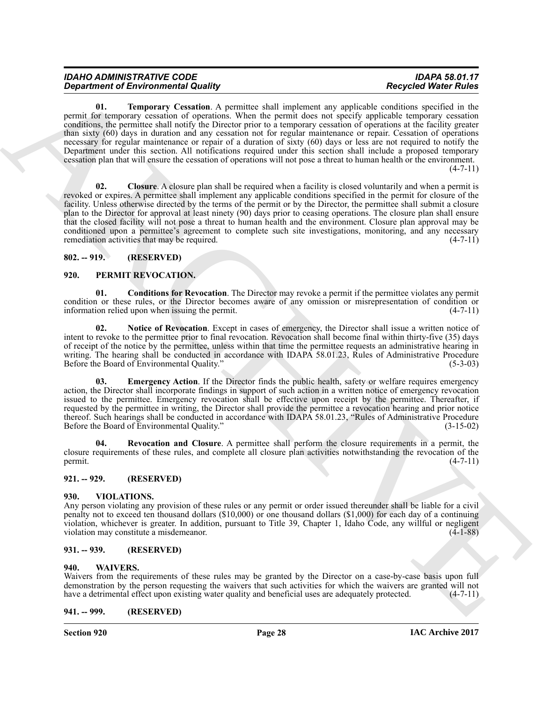<span id="page-27-13"></span>

| <b>IDAHO ADMINISTRATIVE CODE</b>           | <b>IDAPA 58.01.17</b>       |
|--------------------------------------------|-----------------------------|
| <b>Department of Environmental Quality</b> | <b>Recycled Water Rules</b> |

**Equation of Environmental Resolution**, According to the specific state of the specific state of the specific state of the specific state of the specific state of the specific state of the specific state of the specific s **01. Temporary Cessation**. A permittee shall implement any applicable conditions specified in the permit for temporary cessation of operations. When the permit does not specify applicable temporary cessation conditions, the permittee shall notify the Director prior to a temporary cessation of operations at the facility greater than sixty (60) days in duration and any cessation not for regular maintenance or repair. Cessation of operations necessary for regular maintenance or repair of a duration of sixty (60) days or less are not required to notify the Department under this section. All notifications required under this section shall include a proposed temporary cessation plan that will ensure the cessation of operations will not pose a threat to human health or the environment.  $(4 - 7 - 11)$ 

<span id="page-27-12"></span>**02. Closure**. A closure plan shall be required when a facility is closed voluntarily and when a permit is revoked or expires. A permittee shall implement any applicable conditions specified in the permit for closure of the facility. Unless otherwise directed by the terms of the permit or by the Director, the permittee shall submit a closure plan to the Director for approval at least ninety (90) days prior to ceasing operations. The closure plan shall ensure that the closed facility will not pose a threat to human health and the environment. Closure plan approval may be conditioned upon a permittee's agreement to complete such site investigations, monitoring, and any necessary remediation activities that may be required.  $(4-7-11)$ 

#### <span id="page-27-0"></span>**802. -- 919. (RESERVED)**

#### <span id="page-27-7"></span><span id="page-27-1"></span>**920. PERMIT REVOCATION.**

<span id="page-27-8"></span>**01. Conditions for Revocation**. The Director may revoke a permit if the permittee violates any permit condition or these rules, or the Director becomes aware of any omission or misrepresentation of condition or information relied upon when issuing the permit. (4-7-11)

<span id="page-27-10"></span>**02. Notice of Revocation**. Except in cases of emergency, the Director shall issue a written notice of intent to revoke to the permittee prior to final revocation. Revocation shall become final within thirty-five (35) days of receipt of the notice by the permittee, unless within that time the permittee requests an administrative hearing in writing. The hearing shall be conducted in accordance with IDAPA 58.01.23, Rules of Administrative Procedure Before the Board of Environmental Quality." (5-3-03)

<span id="page-27-9"></span>**Emergency Action.** If the Director finds the public health, safety or welfare requires emergency action, the Director shall incorporate findings in support of such action in a written notice of emergency revocation issued to the permittee. Emergency revocation shall be effective upon receipt by the permittee. Thereafter, if requested by the permittee in writing, the Director shall provide the permittee a revocation hearing and prior notice thereof. Such hearings shall be conducted in accordance with IDAPA 58.01.23, "Rules of Administrative Procedure Before the Board of Environmental Quality." (3-15-02)

<span id="page-27-11"></span>**04. Revocation and Closure**. A permittee shall perform the closure requirements in a permit, the closure requirements of these rules, and complete all closure plan activities notwithstanding the revocation of the permit.  $(4-7-11)$ 

#### <span id="page-27-2"></span>**921. -- 929. (RESERVED)**

#### <span id="page-27-14"></span><span id="page-27-3"></span>**930. VIOLATIONS.**

Any person violating any provision of these rules or any permit or order issued thereunder shall be liable for a civil penalty not to exceed ten thousand dollars (\$10,000) or one thousand dollars (\$1,000) for each day of a continuing violation, whichever is greater. In addition, pursuant to Title 39, Chapter 1, Idaho Code, any willful or negligent violation may constitute a misdemeanor. (4-1-88)

#### <span id="page-27-4"></span>**931. -- 939. (RESERVED)**

#### <span id="page-27-15"></span><span id="page-27-5"></span>**940. WAIVERS.**

Waivers from the requirements of these rules may be granted by the Director on a case-by-case basis upon full demonstration by the person requesting the waivers that such activities for which the waivers are granted will not have a detrimental effect upon existing water quality and beneficial uses are adequately protected. (4-7-11)

#### <span id="page-27-6"></span>**941. -- 999. (RESERVED)**

**Section 920 Page 28**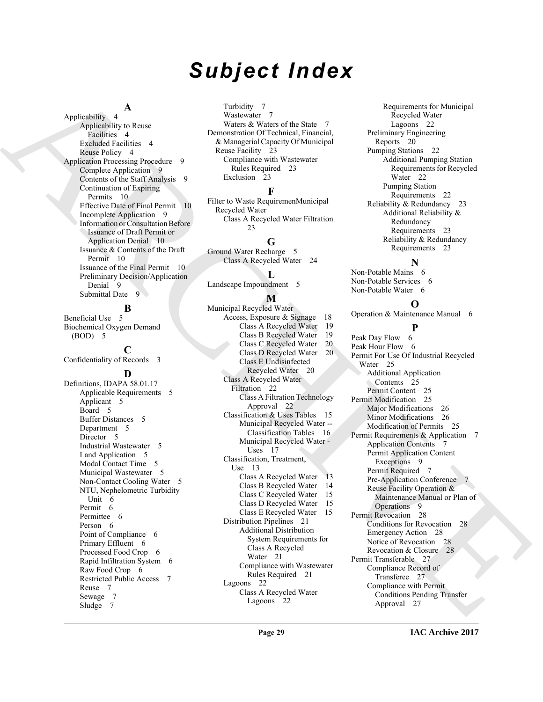# *Subject Index*

#### **A**

Applicability 4 Applicability to Reuse Facilities 4 Excluded Facilities 4 Reuse Policy 4 Application Processing Procedure 9 Complete Application 9 Contents of the Staff Analysis 9 Continuation of Expiring Permits 10 Effective Date of Final Permit 10 Incomplete Application 9 Information or Consultation Before Issuance of Draft Permit or Application Denial 10 Issuance & Contents of the Draft Permit 10 Issuance of the Final Permit 10 Preliminary Decision/Application Denial 9 Submittal Date 9

#### **B**

Beneficial Use 5 Biochemical Oxygen Demand (BOD) 5

**C**

Confidentiality of Records 3

#### **D**

Definitions, IDAPA 58.01.17 Applicable Requirements 5 Applicant 5 Board 5 Buffer Distances 5 Department 5 Director 5 Industrial Wastewater 5 Land Application 5 Modal Contact Time 5 Municipal Wastewater 5 Non-Contact Cooling Water 5 NTU, Nephelometric Turbidity Unit 6 Permit 6 Permittee 6 Person 6 Point of Compliance 6 Primary Effluent 6 Processed Food Crop 6 Rapid Infiltration System 6 Raw Food Crop 6 Restricted Public Access 7 Reuse 7 Sewage 7 Sludge 7

Turbidity 7 Wastewater 7 Waters & Waters of the State 7 Demonstration Of Technical, Financial, & Managerial Capacity Of Municipal Reuse Facility 23 Compliance with Wastewater Rules Required 23 Exclusion 23

#### **F**

Filter to Waste RequiremenMunicipal Recycled Water Class A Recycled Water Filtration  $23$ 

### **G**

Ground Water Recharge 5 Class A Recycled Water 24

## **L**

Landscape Impoundment 5

### **M**

[A](#page-3-4)[R](#page-9-4)[C](#page-9-5)[H](#page-19-4)[I](#page-8-8)[VE](#page-8-9) Municipal Recycled Water Access, Exposure & Signage 18 Class A Recycled Water 19 Class B Recycled Water 19 Class C Recycled Water 20 Class D Recycled Water 20 Class E Undisinfected Recycled Water 20 Class A Recycled Water Filtration 22 Class A Filtration Technology Approval 22 Classification & Uses Tables 15 Municipal Recycled Water -- Classification Tables 16 Municipal Recycled Water - Uses 17 Classification, Treatment, Use 13 Class A Recycled Water 13 Class B Recycled Water 14 Class C Recycled Water 15 Class D Recycled Water 15 Class E Recycled Water 15 Distribution Pipelines 21 Additional Distribution System Requirements for Class A Recycled Water 21 Compliance with Wastewater Rules Required 21 Lagoons 22 Class A Recycled Water Lagoons 22

Requirements for Municipal Recycled Water Lagoons 22 Preliminary Engineering Reports 20 Pumping Stations 22 Additional Pumping Station Requirements for Recycled Water 22 Pumping Station Requirements 22 Reliability & Redundancy 23 Additional Reliability & Redundancy Requirements 23 Reliability & Redundancy Requirements 23

## **N**

Non-Potable Mains 6 Non-Potable Services 6 Non-Potable Water 6

#### **O**

Operation & Maintenance Manual 6

#### **P**

Peak Day Flow 6 Peak Hour Flow 6 Permit For Use Of Industrial Recycled Water 25 Additional Application Contents 25 Permit Content 25 Permit Modification 25 Major Modifications 26 Minor Modifications 26 Modification of Permits 25 Permit Requirements & Application 7 Application Contents 7 Permit Application Content Exceptions 9 Permit Required 7 Pre-Application Conference Reuse Facility Operation & Maintenance Manual or Plan of Operations 9 Permit Revocation 28 Conditions for Revocation 28 Emergency Action 28 Notice of Revocation 28 Revocation & Closure 28 Permit Transferable 27 Compliance Record of Transferee 27 Compliance with Permit Conditions Pending Transfer Approval 27